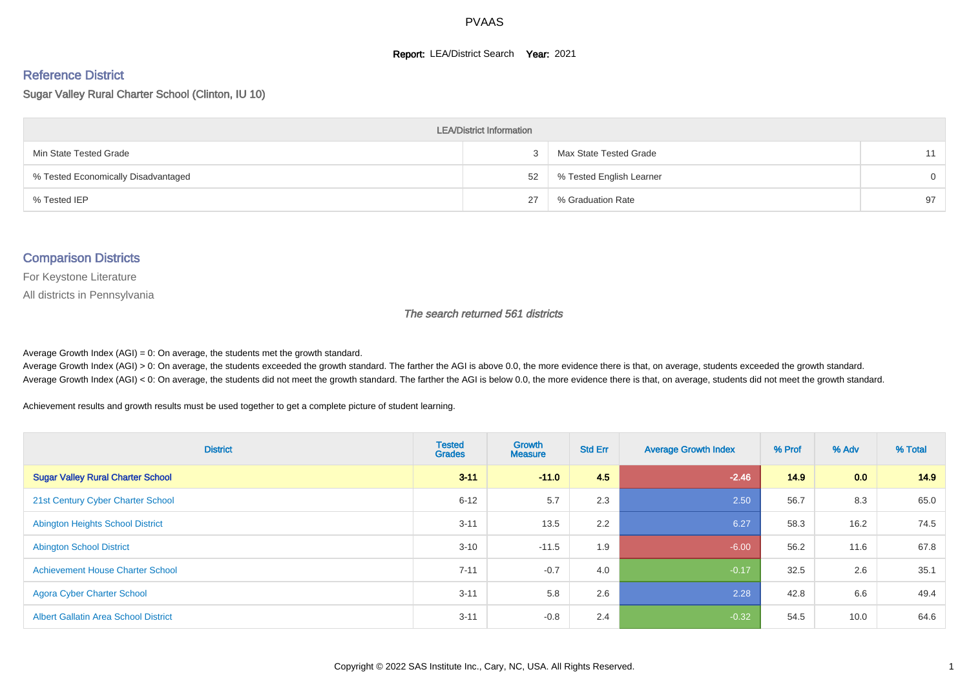#### **Report: LEA/District Search Year: 2021**

# Reference District

Sugar Valley Rural Charter School (Clinton, IU 10)

| <b>LEA/District Information</b>     |    |                          |          |  |  |  |  |  |  |
|-------------------------------------|----|--------------------------|----------|--|--|--|--|--|--|
| Min State Tested Grade              |    | Max State Tested Grade   | 11       |  |  |  |  |  |  |
| % Tested Economically Disadvantaged | 52 | % Tested English Learner | $\Omega$ |  |  |  |  |  |  |
| % Tested IEP                        | 27 | % Graduation Rate        | 97       |  |  |  |  |  |  |

#### Comparison Districts

For Keystone Literature

All districts in Pennsylvania

The search returned 561 districts

Average Growth Index  $(AGI) = 0$ : On average, the students met the growth standard.

Average Growth Index (AGI) > 0: On average, the students exceeded the growth standard. The farther the AGI is above 0.0, the more evidence there is that, on average, students exceeded the growth standard. Average Growth Index (AGI) < 0: On average, the students did not meet the growth standard. The farther the AGI is below 0.0, the more evidence there is that, on average, students did not meet the growth standard.

Achievement results and growth results must be used together to get a complete picture of student learning.

| <b>District</b>                             | <b>Tested</b><br><b>Grades</b> | <b>Growth</b><br><b>Measure</b> | <b>Std Err</b> | <b>Average Growth Index</b> | % Prof | % Adv | % Total |
|---------------------------------------------|--------------------------------|---------------------------------|----------------|-----------------------------|--------|-------|---------|
| <b>Sugar Valley Rural Charter School</b>    | $3 - 11$                       | $-11.0$                         | 4.5            | $-2.46$                     | 14.9   | 0.0   | 14.9    |
| 21st Century Cyber Charter School           | $6 - 12$                       | 5.7                             | 2.3            | 2.50                        | 56.7   | 8.3   | 65.0    |
| <b>Abington Heights School District</b>     | $3 - 11$                       | 13.5                            | 2.2            | 6.27                        | 58.3   | 16.2  | 74.5    |
| <b>Abington School District</b>             | $3 - 10$                       | $-11.5$                         | 1.9            | $-6.00$                     | 56.2   | 11.6  | 67.8    |
| <b>Achievement House Charter School</b>     | $7 - 11$                       | $-0.7$                          | 4.0            | $-0.17$                     | 32.5   | 2.6   | 35.1    |
| <b>Agora Cyber Charter School</b>           | $3 - 11$                       | 5.8                             | 2.6            | 2.28                        | 42.8   | 6.6   | 49.4    |
| <b>Albert Gallatin Area School District</b> | $3 - 11$                       | $-0.8$                          | 2.4            | $-0.32$                     | 54.5   | 10.0  | 64.6    |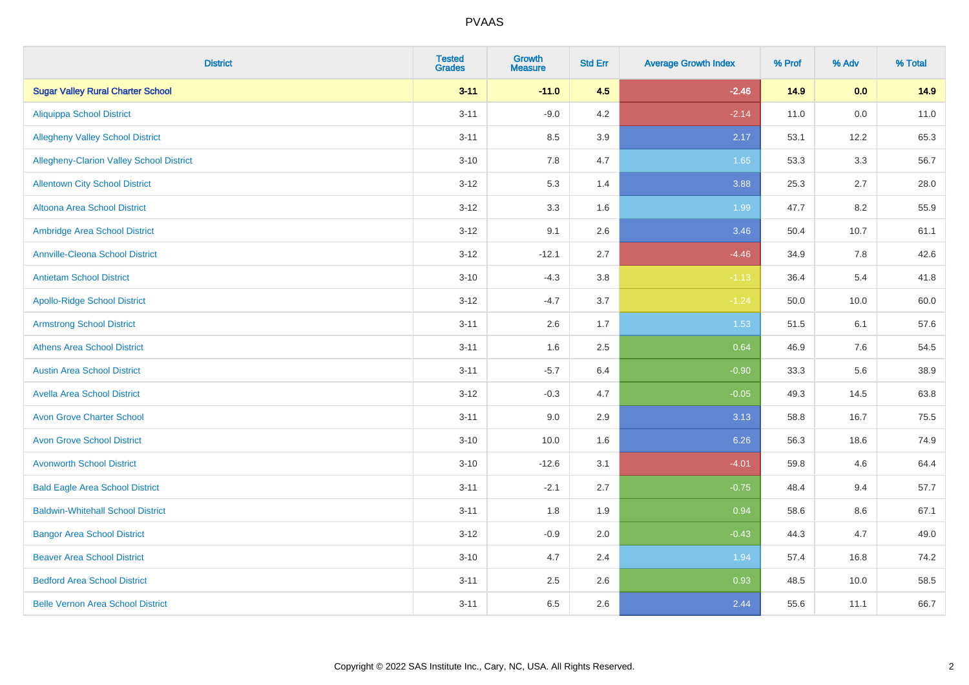| <b>District</b>                          | <b>Tested</b><br><b>Grades</b> | <b>Growth</b><br><b>Measure</b> | <b>Std Err</b> | <b>Average Growth Index</b> | % Prof | % Adv | % Total |
|------------------------------------------|--------------------------------|---------------------------------|----------------|-----------------------------|--------|-------|---------|
| <b>Sugar Valley Rural Charter School</b> | $3 - 11$                       | $-11.0$                         | 4.5            | $-2.46$                     | 14.9   | 0.0   | 14.9    |
| <b>Aliquippa School District</b>         | $3 - 11$                       | $-9.0$                          | 4.2            | $-2.14$                     | 11.0   | 0.0   | 11.0    |
| <b>Allegheny Valley School District</b>  | $3 - 11$                       | 8.5                             | 3.9            | 2.17                        | 53.1   | 12.2  | 65.3    |
| Allegheny-Clarion Valley School District | $3 - 10$                       | 7.8                             | 4.7            | 1.65                        | 53.3   | 3.3   | 56.7    |
| <b>Allentown City School District</b>    | $3 - 12$                       | 5.3                             | 1.4            | 3.88                        | 25.3   | 2.7   | 28.0    |
| <b>Altoona Area School District</b>      | $3 - 12$                       | 3.3                             | 1.6            | 1.99                        | 47.7   | 8.2   | 55.9    |
| Ambridge Area School District            | $3 - 12$                       | 9.1                             | 2.6            | 3.46                        | 50.4   | 10.7  | 61.1    |
| <b>Annville-Cleona School District</b>   | $3 - 12$                       | $-12.1$                         | 2.7            | $-4.46$                     | 34.9   | 7.8   | 42.6    |
| <b>Antietam School District</b>          | $3 - 10$                       | $-4.3$                          | 3.8            | $-1.13$                     | 36.4   | 5.4   | 41.8    |
| <b>Apollo-Ridge School District</b>      | $3 - 12$                       | $-4.7$                          | 3.7            | $-1.24$                     | 50.0   | 10.0  | 60.0    |
| <b>Armstrong School District</b>         | $3 - 11$                       | 2.6                             | 1.7            | 1.53                        | 51.5   | 6.1   | 57.6    |
| <b>Athens Area School District</b>       | $3 - 11$                       | 1.6                             | 2.5            | 0.64                        | 46.9   | 7.6   | 54.5    |
| <b>Austin Area School District</b>       | $3 - 11$                       | $-5.7$                          | 6.4            | $-0.90$                     | 33.3   | 5.6   | 38.9    |
| <b>Avella Area School District</b>       | $3 - 12$                       | $-0.3$                          | 4.7            | $-0.05$                     | 49.3   | 14.5  | 63.8    |
| <b>Avon Grove Charter School</b>         | $3 - 11$                       | 9.0                             | 2.9            | 3.13                        | 58.8   | 16.7  | 75.5    |
| <b>Avon Grove School District</b>        | $3 - 10$                       | 10.0                            | 1.6            | 6.26                        | 56.3   | 18.6  | 74.9    |
| <b>Avonworth School District</b>         | $3 - 10$                       | $-12.6$                         | 3.1            | $-4.01$                     | 59.8   | 4.6   | 64.4    |
| <b>Bald Eagle Area School District</b>   | $3 - 11$                       | $-2.1$                          | 2.7            | $-0.75$                     | 48.4   | 9.4   | 57.7    |
| <b>Baldwin-Whitehall School District</b> | $3 - 11$                       | 1.8                             | 1.9            | 0.94                        | 58.6   | 8.6   | 67.1    |
| <b>Bangor Area School District</b>       | $3 - 12$                       | $-0.9$                          | 2.0            | $-0.43$                     | 44.3   | 4.7   | 49.0    |
| <b>Beaver Area School District</b>       | $3 - 10$                       | 4.7                             | 2.4            | 1.94                        | 57.4   | 16.8  | 74.2    |
| <b>Bedford Area School District</b>      | $3 - 11$                       | 2.5                             | 2.6            | 0.93                        | 48.5   | 10.0  | 58.5    |
| <b>Belle Vernon Area School District</b> | $3 - 11$                       | 6.5                             | 2.6            | 2.44                        | 55.6   | 11.1  | 66.7    |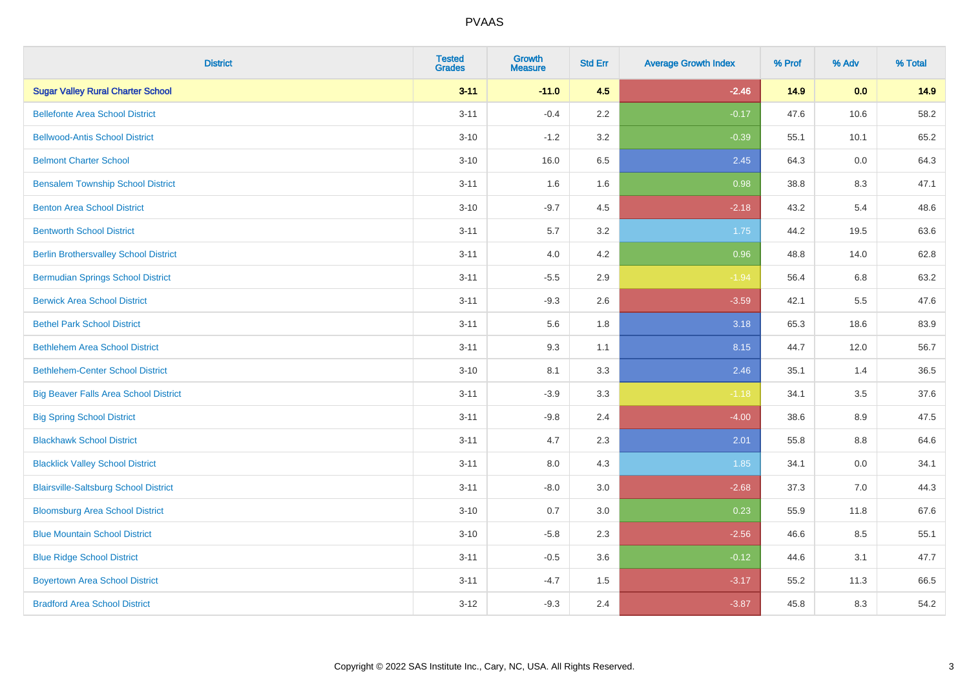| <b>District</b>                              | <b>Tested</b><br><b>Grades</b> | <b>Growth</b><br><b>Measure</b> | <b>Std Err</b> | <b>Average Growth Index</b> | % Prof | % Adv   | % Total |
|----------------------------------------------|--------------------------------|---------------------------------|----------------|-----------------------------|--------|---------|---------|
| <b>Sugar Valley Rural Charter School</b>     | $3 - 11$                       | $-11.0$                         | 4.5            | $-2.46$                     | 14.9   | 0.0     | 14.9    |
| <b>Bellefonte Area School District</b>       | $3 - 11$                       | $-0.4$                          | 2.2            | $-0.17$                     | 47.6   | 10.6    | 58.2    |
| <b>Bellwood-Antis School District</b>        | $3 - 10$                       | $-1.2$                          | 3.2            | $-0.39$                     | 55.1   | 10.1    | 65.2    |
| <b>Belmont Charter School</b>                | $3 - 10$                       | 16.0                            | 6.5            | 2.45                        | 64.3   | 0.0     | 64.3    |
| <b>Bensalem Township School District</b>     | $3 - 11$                       | 1.6                             | 1.6            | 0.98                        | 38.8   | 8.3     | 47.1    |
| <b>Benton Area School District</b>           | $3 - 10$                       | $-9.7$                          | 4.5            | $-2.18$                     | 43.2   | 5.4     | 48.6    |
| <b>Bentworth School District</b>             | $3 - 11$                       | 5.7                             | 3.2            | 1.75                        | 44.2   | 19.5    | 63.6    |
| <b>Berlin Brothersvalley School District</b> | $3 - 11$                       | 4.0                             | 4.2            | 0.96                        | 48.8   | 14.0    | 62.8    |
| <b>Bermudian Springs School District</b>     | $3 - 11$                       | $-5.5$                          | 2.9            | $-1.94$                     | 56.4   | 6.8     | 63.2    |
| <b>Berwick Area School District</b>          | $3 - 11$                       | $-9.3$                          | 2.6            | $-3.59$                     | 42.1   | 5.5     | 47.6    |
| <b>Bethel Park School District</b>           | $3 - 11$                       | 5.6                             | 1.8            | 3.18                        | 65.3   | 18.6    | 83.9    |
| <b>Bethlehem Area School District</b>        | $3 - 11$                       | 9.3                             | 1.1            | 8.15                        | 44.7   | 12.0    | 56.7    |
| <b>Bethlehem-Center School District</b>      | $3 - 10$                       | 8.1                             | 3.3            | 2.46                        | 35.1   | 1.4     | 36.5    |
| <b>Big Beaver Falls Area School District</b> | $3 - 11$                       | $-3.9$                          | 3.3            | $-1.18$                     | 34.1   | 3.5     | 37.6    |
| <b>Big Spring School District</b>            | $3 - 11$                       | $-9.8$                          | 2.4            | $-4.00$                     | 38.6   | 8.9     | 47.5    |
| <b>Blackhawk School District</b>             | $3 - 11$                       | 4.7                             | 2.3            | 2.01                        | 55.8   | $8.8\,$ | 64.6    |
| <b>Blacklick Valley School District</b>      | $3 - 11$                       | 8.0                             | 4.3            | 1.85                        | 34.1   | 0.0     | 34.1    |
| <b>Blairsville-Saltsburg School District</b> | $3 - 11$                       | $-8.0$                          | 3.0            | $-2.68$                     | 37.3   | 7.0     | 44.3    |
| <b>Bloomsburg Area School District</b>       | $3 - 10$                       | 0.7                             | 3.0            | 0.23                        | 55.9   | 11.8    | 67.6    |
| <b>Blue Mountain School District</b>         | $3 - 10$                       | $-5.8$                          | 2.3            | $-2.56$                     | 46.6   | 8.5     | 55.1    |
| <b>Blue Ridge School District</b>            | $3 - 11$                       | $-0.5$                          | 3.6            | $-0.12$                     | 44.6   | 3.1     | 47.7    |
| <b>Boyertown Area School District</b>        | $3 - 11$                       | $-4.7$                          | 1.5            | $-3.17$                     | 55.2   | 11.3    | 66.5    |
| <b>Bradford Area School District</b>         | $3 - 12$                       | $-9.3$                          | 2.4            | $-3.87$                     | 45.8   | 8.3     | 54.2    |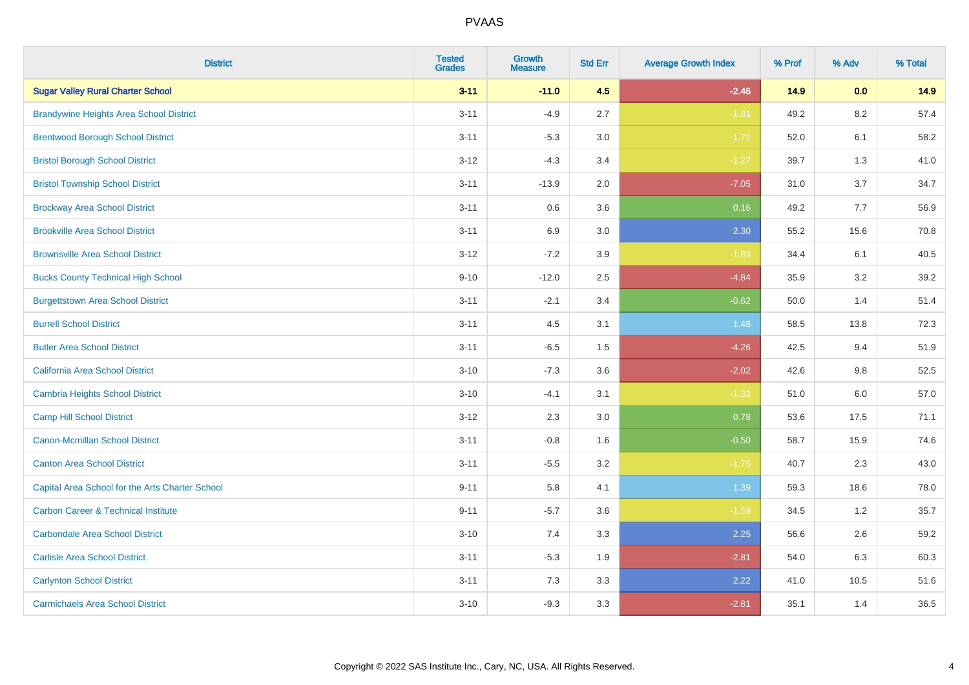| <b>District</b>                                 | <b>Tested</b><br><b>Grades</b> | <b>Growth</b><br><b>Measure</b> | <b>Std Err</b> | <b>Average Growth Index</b> | % Prof | % Adv   | % Total |
|-------------------------------------------------|--------------------------------|---------------------------------|----------------|-----------------------------|--------|---------|---------|
| <b>Sugar Valley Rural Charter School</b>        | $3 - 11$                       | $-11.0$                         | 4.5            | $-2.46$                     | 14.9   | 0.0     | 14.9    |
| <b>Brandywine Heights Area School District</b>  | $3 - 11$                       | $-4.9$                          | 2.7            | $-1.81$                     | 49.2   | 8.2     | 57.4    |
| <b>Brentwood Borough School District</b>        | $3 - 11$                       | $-5.3$                          | 3.0            | $-1.72$                     | 52.0   | 6.1     | 58.2    |
| <b>Bristol Borough School District</b>          | $3 - 12$                       | $-4.3$                          | 3.4            | $-1.27$                     | 39.7   | 1.3     | 41.0    |
| <b>Bristol Township School District</b>         | $3 - 11$                       | $-13.9$                         | 2.0            | $-7.05$                     | 31.0   | 3.7     | 34.7    |
| <b>Brockway Area School District</b>            | $3 - 11$                       | 0.6                             | 3.6            | 0.16                        | 49.2   | 7.7     | 56.9    |
| <b>Brookville Area School District</b>          | $3 - 11$                       | 6.9                             | 3.0            | 2.30                        | 55.2   | 15.6    | 70.8    |
| <b>Brownsville Area School District</b>         | $3 - 12$                       | $-7.2$                          | 3.9            | $-1.83$                     | 34.4   | 6.1     | 40.5    |
| <b>Bucks County Technical High School</b>       | $9 - 10$                       | $-12.0$                         | 2.5            | $-4.84$                     | 35.9   | 3.2     | 39.2    |
| <b>Burgettstown Area School District</b>        | $3 - 11$                       | $-2.1$                          | 3.4            | $-0.62$                     | 50.0   | 1.4     | 51.4    |
| <b>Burrell School District</b>                  | $3 - 11$                       | 4.5                             | 3.1            | 1.48                        | 58.5   | 13.8    | 72.3    |
| <b>Butler Area School District</b>              | $3 - 11$                       | $-6.5$                          | 1.5            | $-4.26$                     | 42.5   | 9.4     | 51.9    |
| California Area School District                 | $3 - 10$                       | $-7.3$                          | 3.6            | $-2.02$                     | 42.6   | 9.8     | 52.5    |
| <b>Cambria Heights School District</b>          | $3 - 10$                       | $-4.1$                          | 3.1            | $-1.32$                     | 51.0   | $6.0\,$ | 57.0    |
| <b>Camp Hill School District</b>                | $3 - 12$                       | 2.3                             | 3.0            | 0.78                        | 53.6   | 17.5    | 71.1    |
| Canon-Mcmillan School District                  | $3 - 11$                       | $-0.8$                          | 1.6            | $-0.50$                     | 58.7   | 15.9    | 74.6    |
| <b>Canton Area School District</b>              | $3 - 11$                       | $-5.5$                          | 3.2            | $-1.75$                     | 40.7   | 2.3     | 43.0    |
| Capital Area School for the Arts Charter School | $9 - 11$                       | 5.8                             | 4.1            | 1.39                        | 59.3   | 18.6    | 78.0    |
| <b>Carbon Career &amp; Technical Institute</b>  | $9 - 11$                       | $-5.7$                          | 3.6            | $-1.59$                     | 34.5   | 1.2     | 35.7    |
| <b>Carbondale Area School District</b>          | $3 - 10$                       | 7.4                             | 3.3            | 2.25                        | 56.6   | 2.6     | 59.2    |
| <b>Carlisle Area School District</b>            | $3 - 11$                       | $-5.3$                          | 1.9            | $-2.81$                     | 54.0   | 6.3     | 60.3    |
| <b>Carlynton School District</b>                | $3 - 11$                       | 7.3                             | 3.3            | 2.22                        | 41.0   | 10.5    | 51.6    |
| <b>Carmichaels Area School District</b>         | $3 - 10$                       | $-9.3$                          | 3.3            | $-2.81$                     | 35.1   | 1.4     | 36.5    |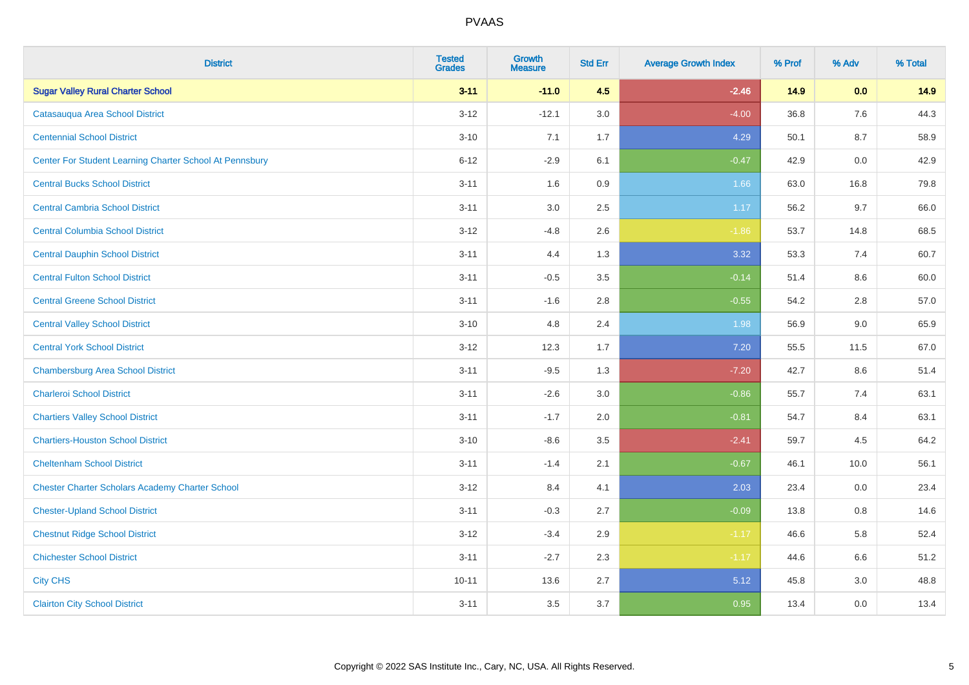| <b>District</b>                                         | <b>Tested</b><br><b>Grades</b> | <b>Growth</b><br><b>Measure</b> | <b>Std Err</b> | <b>Average Growth Index</b> | % Prof | % Adv | % Total |
|---------------------------------------------------------|--------------------------------|---------------------------------|----------------|-----------------------------|--------|-------|---------|
| <b>Sugar Valley Rural Charter School</b>                | $3 - 11$                       | $-11.0$                         | 4.5            | $-2.46$                     | 14.9   | 0.0   | 14.9    |
| Catasauqua Area School District                         | $3 - 12$                       | $-12.1$                         | 3.0            | $-4.00$                     | 36.8   | 7.6   | 44.3    |
| <b>Centennial School District</b>                       | $3 - 10$                       | 7.1                             | 1.7            | 4.29                        | 50.1   | 8.7   | 58.9    |
| Center For Student Learning Charter School At Pennsbury | $6 - 12$                       | $-2.9$                          | 6.1            | $-0.47$                     | 42.9   | 0.0   | 42.9    |
| <b>Central Bucks School District</b>                    | $3 - 11$                       | 1.6                             | 0.9            | 1.66                        | 63.0   | 16.8  | 79.8    |
| <b>Central Cambria School District</b>                  | $3 - 11$                       | 3.0                             | 2.5            | 1.17                        | 56.2   | 9.7   | 66.0    |
| <b>Central Columbia School District</b>                 | $3 - 12$                       | $-4.8$                          | 2.6            | $-1.86$                     | 53.7   | 14.8  | 68.5    |
| <b>Central Dauphin School District</b>                  | $3 - 11$                       | 4.4                             | 1.3            | 3.32                        | 53.3   | 7.4   | 60.7    |
| <b>Central Fulton School District</b>                   | $3 - 11$                       | $-0.5$                          | 3.5            | $-0.14$                     | 51.4   | 8.6   | 60.0    |
| <b>Central Greene School District</b>                   | $3 - 11$                       | $-1.6$                          | 2.8            | $-0.55$                     | 54.2   | 2.8   | 57.0    |
| <b>Central Valley School District</b>                   | $3 - 10$                       | 4.8                             | 2.4            | 1.98                        | 56.9   | 9.0   | 65.9    |
| <b>Central York School District</b>                     | $3 - 12$                       | 12.3                            | 1.7            | 7.20                        | 55.5   | 11.5  | 67.0    |
| <b>Chambersburg Area School District</b>                | $3 - 11$                       | $-9.5$                          | 1.3            | $-7.20$                     | 42.7   | 8.6   | 51.4    |
| <b>Charleroi School District</b>                        | $3 - 11$                       | $-2.6$                          | 3.0            | $-0.86$                     | 55.7   | 7.4   | 63.1    |
| <b>Chartiers Valley School District</b>                 | $3 - 11$                       | $-1.7$                          | 2.0            | $-0.81$                     | 54.7   | 8.4   | 63.1    |
| <b>Chartiers-Houston School District</b>                | $3 - 10$                       | $-8.6$                          | 3.5            | $-2.41$                     | 59.7   | 4.5   | 64.2    |
| <b>Cheltenham School District</b>                       | $3 - 11$                       | $-1.4$                          | 2.1            | $-0.67$                     | 46.1   | 10.0  | 56.1    |
| <b>Chester Charter Scholars Academy Charter School</b>  | $3 - 12$                       | 8.4                             | 4.1            | 2.03                        | 23.4   | 0.0   | 23.4    |
| <b>Chester-Upland School District</b>                   | $3 - 11$                       | $-0.3$                          | 2.7            | $-0.09$                     | 13.8   | 0.8   | 14.6    |
| <b>Chestnut Ridge School District</b>                   | $3 - 12$                       | $-3.4$                          | 2.9            | $-1.17$                     | 46.6   | 5.8   | 52.4    |
| <b>Chichester School District</b>                       | $3 - 11$                       | $-2.7$                          | 2.3            | $-1.17$                     | 44.6   | 6.6   | 51.2    |
| <b>City CHS</b>                                         | $10 - 11$                      | 13.6                            | 2.7            | 5.12                        | 45.8   | 3.0   | 48.8    |
| <b>Clairton City School District</b>                    | $3 - 11$                       | 3.5                             | 3.7            | 0.95                        | 13.4   | 0.0   | 13.4    |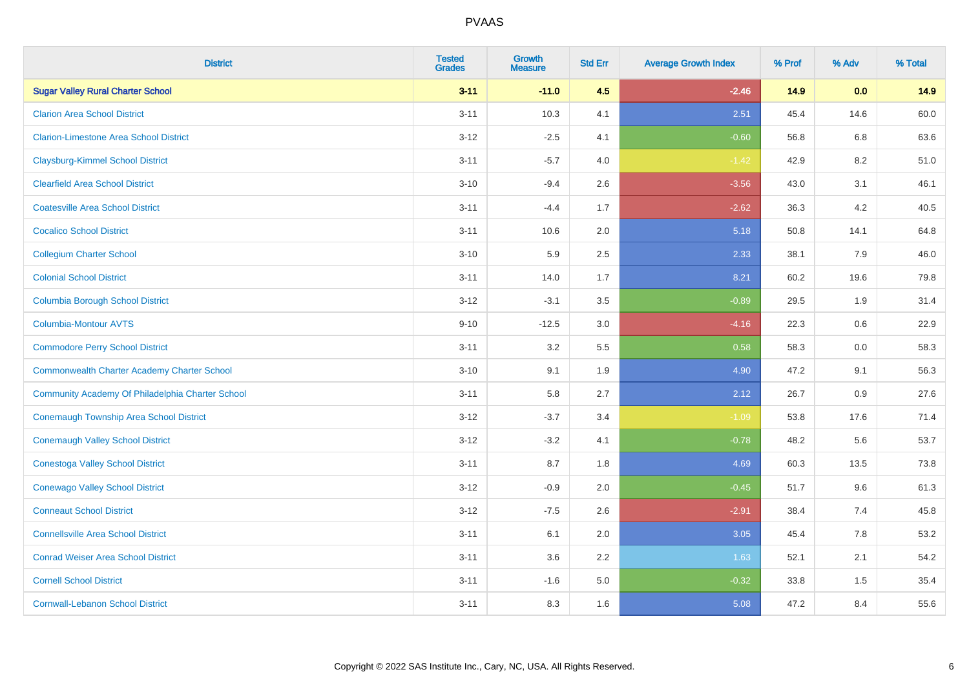| <b>District</b>                                    | <b>Tested</b><br><b>Grades</b> | <b>Growth</b><br><b>Measure</b> | <b>Std Err</b> | <b>Average Growth Index</b> | % Prof | % Adv | % Total |
|----------------------------------------------------|--------------------------------|---------------------------------|----------------|-----------------------------|--------|-------|---------|
| <b>Sugar Valley Rural Charter School</b>           | $3 - 11$                       | $-11.0$                         | 4.5            | $-2.46$                     | 14.9   | 0.0   | 14.9    |
| <b>Clarion Area School District</b>                | $3 - 11$                       | 10.3                            | 4.1            | 2.51                        | 45.4   | 14.6  | 60.0    |
| <b>Clarion-Limestone Area School District</b>      | $3 - 12$                       | $-2.5$                          | 4.1            | $-0.60$                     | 56.8   | 6.8   | 63.6    |
| <b>Claysburg-Kimmel School District</b>            | $3 - 11$                       | $-5.7$                          | 4.0            | $-1.42$                     | 42.9   | 8.2   | 51.0    |
| <b>Clearfield Area School District</b>             | $3 - 10$                       | $-9.4$                          | 2.6            | $-3.56$                     | 43.0   | 3.1   | 46.1    |
| <b>Coatesville Area School District</b>            | $3 - 11$                       | $-4.4$                          | 1.7            | $-2.62$                     | 36.3   | 4.2   | 40.5    |
| <b>Cocalico School District</b>                    | $3 - 11$                       | 10.6                            | 2.0            | 5.18                        | 50.8   | 14.1  | 64.8    |
| <b>Collegium Charter School</b>                    | $3 - 10$                       | 5.9                             | 2.5            | 2.33                        | 38.1   | 7.9   | 46.0    |
| <b>Colonial School District</b>                    | $3 - 11$                       | 14.0                            | 1.7            | 8.21                        | 60.2   | 19.6  | 79.8    |
| <b>Columbia Borough School District</b>            | $3 - 12$                       | $-3.1$                          | 3.5            | $-0.89$                     | 29.5   | 1.9   | 31.4    |
| <b>Columbia-Montour AVTS</b>                       | $9 - 10$                       | $-12.5$                         | 3.0            | $-4.16$                     | 22.3   | 0.6   | 22.9    |
| <b>Commodore Perry School District</b>             | $3 - 11$                       | 3.2                             | 5.5            | 0.58                        | 58.3   | 0.0   | 58.3    |
| <b>Commonwealth Charter Academy Charter School</b> | $3 - 10$                       | 9.1                             | 1.9            | 4.90                        | 47.2   | 9.1   | 56.3    |
| Community Academy Of Philadelphia Charter School   | $3 - 11$                       | 5.8                             | 2.7            | 2.12                        | 26.7   | 0.9   | 27.6    |
| Conemaugh Township Area School District            | $3-12$                         | $-3.7$                          | 3.4            | $-1.09$                     | 53.8   | 17.6  | 71.4    |
| <b>Conemaugh Valley School District</b>            | $3 - 12$                       | $-3.2$                          | 4.1            | $-0.78$                     | 48.2   | 5.6   | 53.7    |
| <b>Conestoga Valley School District</b>            | $3 - 11$                       | 8.7                             | 1.8            | 4.69                        | 60.3   | 13.5  | 73.8    |
| <b>Conewago Valley School District</b>             | $3 - 12$                       | $-0.9$                          | 2.0            | $-0.45$                     | 51.7   | 9.6   | 61.3    |
| <b>Conneaut School District</b>                    | $3-12$                         | $-7.5$                          | 2.6            | $-2.91$                     | 38.4   | 7.4   | 45.8    |
| <b>Connellsville Area School District</b>          | $3 - 11$                       | 6.1                             | 2.0            | 3.05                        | 45.4   | 7.8   | 53.2    |
| <b>Conrad Weiser Area School District</b>          | $3 - 11$                       | 3.6                             | 2.2            | 1.63                        | 52.1   | 2.1   | 54.2    |
| <b>Cornell School District</b>                     | $3 - 11$                       | $-1.6$                          | 5.0            | $-0.32$                     | 33.8   | 1.5   | 35.4    |
| <b>Cornwall-Lebanon School District</b>            | $3 - 11$                       | 8.3                             | 1.6            | 5.08                        | 47.2   | 8.4   | 55.6    |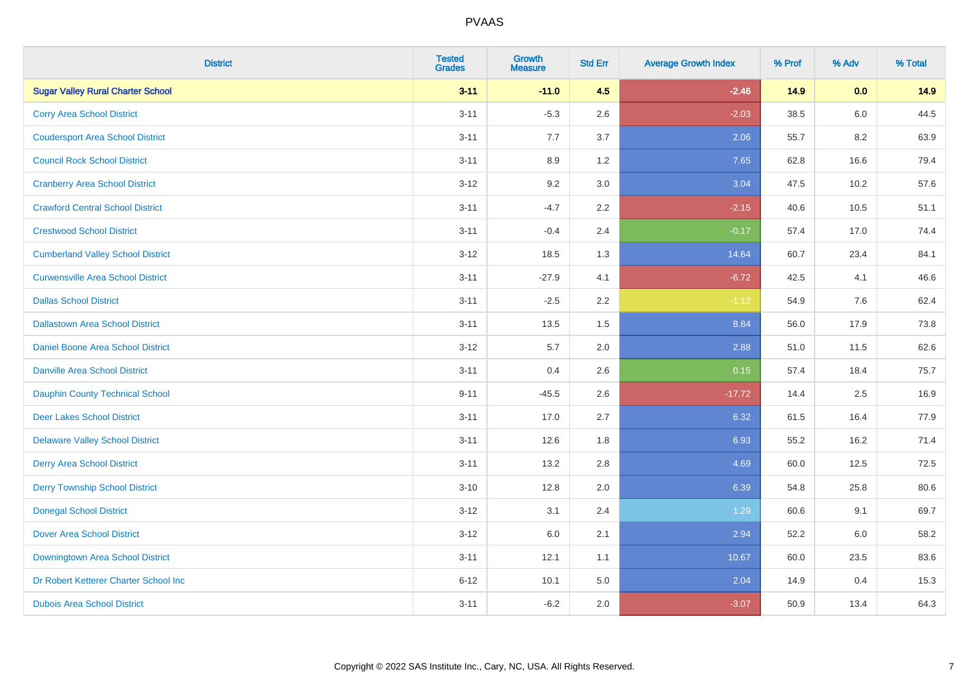| <b>District</b>                          | <b>Tested</b><br><b>Grades</b> | Growth<br><b>Measure</b> | <b>Std Err</b> | <b>Average Growth Index</b> | % Prof | % Adv   | % Total |
|------------------------------------------|--------------------------------|--------------------------|----------------|-----------------------------|--------|---------|---------|
| <b>Sugar Valley Rural Charter School</b> | $3 - 11$                       | $-11.0$                  | 4.5            | $-2.46$                     | 14.9   | 0.0     | 14.9    |
| <b>Corry Area School District</b>        | $3 - 11$                       | $-5.3$                   | 2.6            | $-2.03$                     | 38.5   | $6.0\,$ | 44.5    |
| <b>Coudersport Area School District</b>  | $3 - 11$                       | 7.7                      | 3.7            | 2.06                        | 55.7   | 8.2     | 63.9    |
| <b>Council Rock School District</b>      | $3 - 11$                       | 8.9                      | 1.2            | 7.65                        | 62.8   | 16.6    | 79.4    |
| <b>Cranberry Area School District</b>    | $3 - 12$                       | 9.2                      | 3.0            | 3.04                        | 47.5   | 10.2    | 57.6    |
| <b>Crawford Central School District</b>  | $3 - 11$                       | $-4.7$                   | 2.2            | $-2.15$                     | 40.6   | 10.5    | 51.1    |
| <b>Crestwood School District</b>         | $3 - 11$                       | $-0.4$                   | 2.4            | $-0.17$                     | 57.4   | 17.0    | 74.4    |
| <b>Cumberland Valley School District</b> | $3-12$                         | 18.5                     | 1.3            | 14.64                       | 60.7   | 23.4    | 84.1    |
| <b>Curwensville Area School District</b> | $3 - 11$                       | $-27.9$                  | 4.1            | $-6.72$                     | 42.5   | 4.1     | 46.6    |
| <b>Dallas School District</b>            | $3 - 11$                       | $-2.5$                   | 2.2            | $-1.12$                     | 54.9   | 7.6     | 62.4    |
| <b>Dallastown Area School District</b>   | $3 - 11$                       | 13.5                     | 1.5            | 8.84                        | 56.0   | 17.9    | 73.8    |
| <b>Daniel Boone Area School District</b> | $3 - 12$                       | 5.7                      | 2.0            | 2.88                        | 51.0   | 11.5    | 62.6    |
| <b>Danville Area School District</b>     | $3 - 11$                       | 0.4                      | 2.6            | 0.15                        | 57.4   | 18.4    | 75.7    |
| <b>Dauphin County Technical School</b>   | $9 - 11$                       | $-45.5$                  | 2.6            | $-17.72$                    | 14.4   | 2.5     | 16.9    |
| <b>Deer Lakes School District</b>        | $3 - 11$                       | 17.0                     | 2.7            | 6.32                        | 61.5   | 16.4    | 77.9    |
| <b>Delaware Valley School District</b>   | $3 - 11$                       | 12.6                     | 1.8            | 6.93                        | 55.2   | 16.2    | 71.4    |
| <b>Derry Area School District</b>        | $3 - 11$                       | 13.2                     | 2.8            | 4.69                        | 60.0   | 12.5    | 72.5    |
| <b>Derry Township School District</b>    | $3 - 10$                       | 12.8                     | 2.0            | 6.39                        | 54.8   | 25.8    | 80.6    |
| <b>Donegal School District</b>           | $3 - 12$                       | 3.1                      | 2.4            | 1.29                        | 60.6   | 9.1     | 69.7    |
| Dover Area School District               | $3 - 12$                       | $6.0\,$                  | 2.1            | 2.94                        | 52.2   | 6.0     | 58.2    |
| Downingtown Area School District         | $3 - 11$                       | 12.1                     | 1.1            | 10.67                       | 60.0   | 23.5    | 83.6    |
| Dr Robert Ketterer Charter School Inc    | $6 - 12$                       | 10.1                     | 5.0            | 2.04                        | 14.9   | 0.4     | 15.3    |
| <b>Dubois Area School District</b>       | $3 - 11$                       | $-6.2$                   | 2.0            | $-3.07$                     | 50.9   | 13.4    | 64.3    |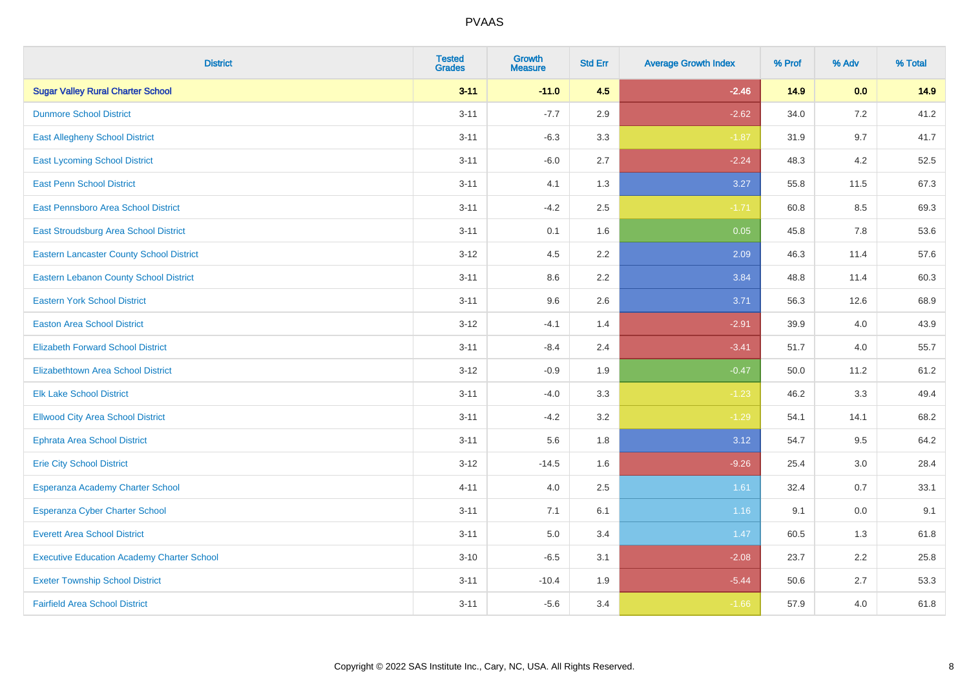| <b>District</b>                                   | <b>Tested</b><br><b>Grades</b> | <b>Growth</b><br><b>Measure</b> | <b>Std Err</b> | <b>Average Growth Index</b> | % Prof | % Adv | % Total |
|---------------------------------------------------|--------------------------------|---------------------------------|----------------|-----------------------------|--------|-------|---------|
| <b>Sugar Valley Rural Charter School</b>          | $3 - 11$                       | $-11.0$                         | 4.5            | $-2.46$                     | 14.9   | 0.0   | 14.9    |
| <b>Dunmore School District</b>                    | $3 - 11$                       | $-7.7$                          | 2.9            | $-2.62$                     | 34.0   | 7.2   | 41.2    |
| <b>East Allegheny School District</b>             | $3 - 11$                       | $-6.3$                          | 3.3            | $-1.87$                     | 31.9   | 9.7   | 41.7    |
| <b>East Lycoming School District</b>              | $3 - 11$                       | $-6.0$                          | 2.7            | $-2.24$                     | 48.3   | 4.2   | 52.5    |
| <b>East Penn School District</b>                  | $3 - 11$                       | 4.1                             | 1.3            | 3.27                        | 55.8   | 11.5  | 67.3    |
| <b>East Pennsboro Area School District</b>        | $3 - 11$                       | $-4.2$                          | 2.5            | $-1.71$                     | 60.8   | 8.5   | 69.3    |
| East Stroudsburg Area School District             | $3 - 11$                       | 0.1                             | 1.6            | 0.05                        | 45.8   | 7.8   | 53.6    |
| <b>Eastern Lancaster County School District</b>   | $3 - 12$                       | 4.5                             | 2.2            | 2.09                        | 46.3   | 11.4  | 57.6    |
| <b>Eastern Lebanon County School District</b>     | $3 - 11$                       | 8.6                             | 2.2            | 3.84                        | 48.8   | 11.4  | 60.3    |
| <b>Eastern York School District</b>               | $3 - 11$                       | 9.6                             | 2.6            | 3.71                        | 56.3   | 12.6  | 68.9    |
| <b>Easton Area School District</b>                | $3 - 12$                       | $-4.1$                          | 1.4            | $-2.91$                     | 39.9   | 4.0   | 43.9    |
| <b>Elizabeth Forward School District</b>          | $3 - 11$                       | $-8.4$                          | 2.4            | $-3.41$                     | 51.7   | 4.0   | 55.7    |
| <b>Elizabethtown Area School District</b>         | $3-12$                         | $-0.9$                          | 1.9            | $-0.47$                     | 50.0   | 11.2  | 61.2    |
| <b>Elk Lake School District</b>                   | $3 - 11$                       | $-4.0$                          | 3.3            | $-1.23$                     | 46.2   | 3.3   | 49.4    |
| <b>Ellwood City Area School District</b>          | $3 - 11$                       | $-4.2$                          | 3.2            | $-1.29$                     | 54.1   | 14.1  | 68.2    |
| <b>Ephrata Area School District</b>               | $3 - 11$                       | 5.6                             | 1.8            | 3.12                        | 54.7   | 9.5   | 64.2    |
| <b>Erie City School District</b>                  | $3-12$                         | $-14.5$                         | 1.6            | $-9.26$                     | 25.4   | 3.0   | 28.4    |
| Esperanza Academy Charter School                  | $4 - 11$                       | 4.0                             | 2.5            | 1.61                        | 32.4   | 0.7   | 33.1    |
| <b>Esperanza Cyber Charter School</b>             | $3 - 11$                       | 7.1                             | 6.1            | 1.16                        | 9.1    | 0.0   | 9.1     |
| <b>Everett Area School District</b>               | $3 - 11$                       | 5.0                             | 3.4            | 1.47                        | 60.5   | 1.3   | 61.8    |
| <b>Executive Education Academy Charter School</b> | $3 - 10$                       | $-6.5$                          | 3.1            | $-2.08$                     | 23.7   | 2.2   | 25.8    |
| <b>Exeter Township School District</b>            | $3 - 11$                       | $-10.4$                         | 1.9            | $-5.44$                     | 50.6   | 2.7   | 53.3    |
| <b>Fairfield Area School District</b>             | $3 - 11$                       | $-5.6$                          | 3.4            | $-1.66$                     | 57.9   | 4.0   | 61.8    |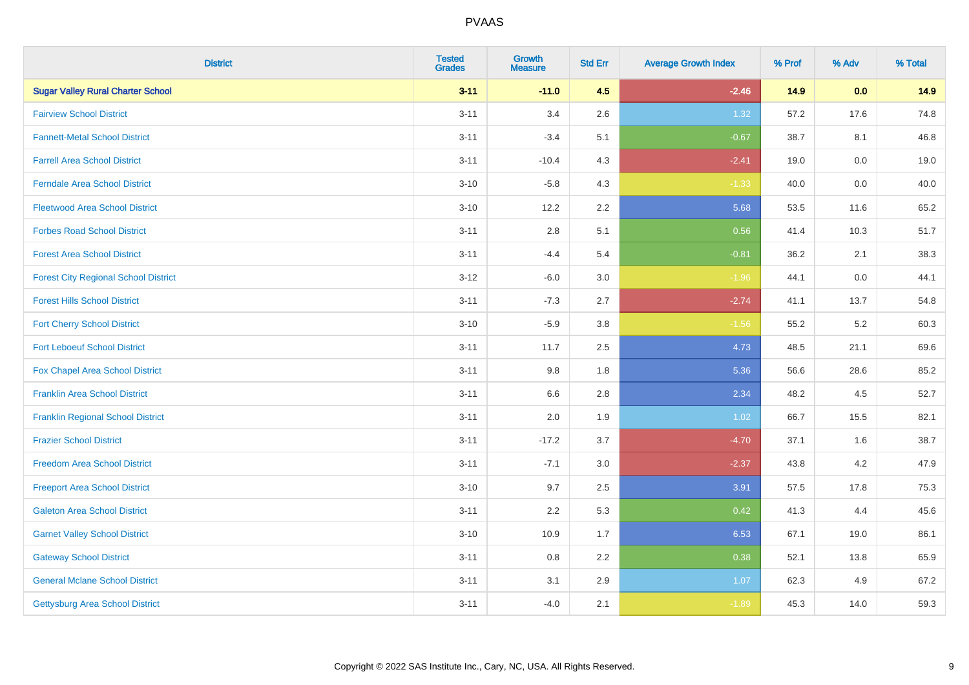| <b>District</b>                             | <b>Tested</b><br><b>Grades</b> | Growth<br><b>Measure</b> | <b>Std Err</b> | <b>Average Growth Index</b> | % Prof | % Adv   | % Total |
|---------------------------------------------|--------------------------------|--------------------------|----------------|-----------------------------|--------|---------|---------|
| <b>Sugar Valley Rural Charter School</b>    | $3 - 11$                       | $-11.0$                  | 4.5            | $-2.46$                     | 14.9   | 0.0     | 14.9    |
| <b>Fairview School District</b>             | $3 - 11$                       | 3.4                      | 2.6            | 1.32                        | 57.2   | 17.6    | 74.8    |
| <b>Fannett-Metal School District</b>        | $3 - 11$                       | $-3.4$                   | 5.1            | $-0.67$                     | 38.7   | 8.1     | 46.8    |
| <b>Farrell Area School District</b>         | $3 - 11$                       | $-10.4$                  | 4.3            | $-2.41$                     | 19.0   | $0.0\,$ | 19.0    |
| <b>Ferndale Area School District</b>        | $3 - 10$                       | $-5.8$                   | 4.3            | $-1.33$                     | 40.0   | 0.0     | 40.0    |
| <b>Fleetwood Area School District</b>       | $3 - 10$                       | 12.2                     | 2.2            | 5.68                        | 53.5   | 11.6    | 65.2    |
| <b>Forbes Road School District</b>          | $3 - 11$                       | 2.8                      | 5.1            | 0.56                        | 41.4   | 10.3    | 51.7    |
| <b>Forest Area School District</b>          | $3 - 11$                       | $-4.4$                   | 5.4            | $-0.81$                     | 36.2   | 2.1     | 38.3    |
| <b>Forest City Regional School District</b> | $3 - 12$                       | $-6.0$                   | 3.0            | $-1.96$                     | 44.1   | 0.0     | 44.1    |
| <b>Forest Hills School District</b>         | $3 - 11$                       | $-7.3$                   | 2.7            | $-2.74$                     | 41.1   | 13.7    | 54.8    |
| <b>Fort Cherry School District</b>          | $3 - 10$                       | $-5.9$                   | 3.8            | $-1.56$                     | 55.2   | 5.2     | 60.3    |
| <b>Fort Leboeuf School District</b>         | $3 - 11$                       | 11.7                     | 2.5            | 4.73                        | 48.5   | 21.1    | 69.6    |
| Fox Chapel Area School District             | $3 - 11$                       | 9.8                      | 1.8            | 5.36                        | 56.6   | 28.6    | 85.2    |
| <b>Franklin Area School District</b>        | $3 - 11$                       | 6.6                      | $2.8\,$        | 2.34                        | 48.2   | 4.5     | 52.7    |
| <b>Franklin Regional School District</b>    | $3 - 11$                       | 2.0                      | 1.9            | 1.02                        | 66.7   | 15.5    | 82.1    |
| <b>Frazier School District</b>              | $3 - 11$                       | $-17.2$                  | 3.7            | $-4.70$                     | 37.1   | 1.6     | 38.7    |
| <b>Freedom Area School District</b>         | $3 - 11$                       | $-7.1$                   | 3.0            | $-2.37$                     | 43.8   | $4.2\,$ | 47.9    |
| <b>Freeport Area School District</b>        | $3 - 10$                       | 9.7                      | 2.5            | 3.91                        | 57.5   | 17.8    | 75.3    |
| <b>Galeton Area School District</b>         | $3 - 11$                       | 2.2                      | 5.3            | 0.42                        | 41.3   | 4.4     | 45.6    |
| <b>Garnet Valley School District</b>        | $3 - 10$                       | 10.9                     | 1.7            | 6.53                        | 67.1   | 19.0    | 86.1    |
| <b>Gateway School District</b>              | $3 - 11$                       | 0.8                      | 2.2            | 0.38                        | 52.1   | 13.8    | 65.9    |
| <b>General Mclane School District</b>       | $3 - 11$                       | 3.1                      | 2.9            | 1.07                        | 62.3   | 4.9     | 67.2    |
| <b>Gettysburg Area School District</b>      | $3 - 11$                       | $-4.0$                   | 2.1            | $-1.89$                     | 45.3   | 14.0    | 59.3    |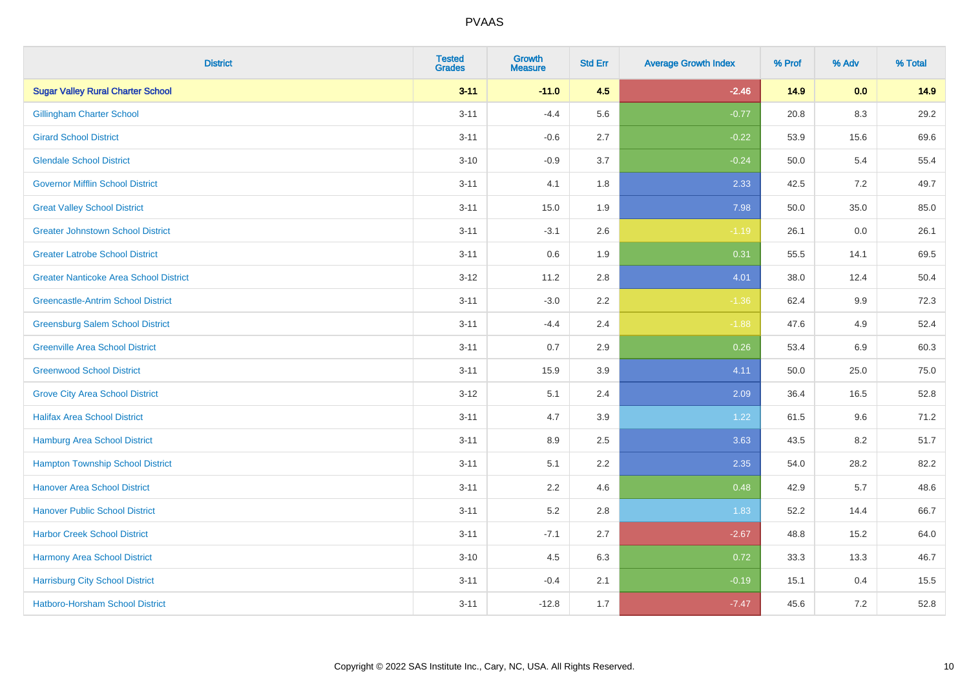| <b>District</b>                               | <b>Tested</b><br><b>Grades</b> | Growth<br><b>Measure</b> | <b>Std Err</b> | <b>Average Growth Index</b> | % Prof | % Adv   | % Total |
|-----------------------------------------------|--------------------------------|--------------------------|----------------|-----------------------------|--------|---------|---------|
| <b>Sugar Valley Rural Charter School</b>      | $3 - 11$                       | $-11.0$                  | 4.5            | $-2.46$                     | 14.9   | 0.0     | 14.9    |
| <b>Gillingham Charter School</b>              | $3 - 11$                       | $-4.4$                   | 5.6            | $-0.77$                     | 20.8   | 8.3     | 29.2    |
| <b>Girard School District</b>                 | $3 - 11$                       | $-0.6$                   | 2.7            | $-0.22$                     | 53.9   | 15.6    | 69.6    |
| <b>Glendale School District</b>               | $3 - 10$                       | $-0.9$                   | 3.7            | $-0.24$                     | 50.0   | 5.4     | 55.4    |
| <b>Governor Mifflin School District</b>       | $3 - 11$                       | 4.1                      | 1.8            | 2.33                        | 42.5   | 7.2     | 49.7    |
| <b>Great Valley School District</b>           | $3 - 11$                       | 15.0                     | 1.9            | 7.98                        | 50.0   | 35.0    | 85.0    |
| <b>Greater Johnstown School District</b>      | $3 - 11$                       | $-3.1$                   | 2.6            | $-1.19$                     | 26.1   | $0.0\,$ | 26.1    |
| <b>Greater Latrobe School District</b>        | $3 - 11$                       | 0.6                      | 1.9            | 0.31                        | 55.5   | 14.1    | 69.5    |
| <b>Greater Nanticoke Area School District</b> | $3 - 12$                       | 11.2                     | 2.8            | 4.01                        | 38.0   | 12.4    | 50.4    |
| <b>Greencastle-Antrim School District</b>     | $3 - 11$                       | $-3.0$                   | 2.2            | $-1.36$                     | 62.4   | 9.9     | 72.3    |
| <b>Greensburg Salem School District</b>       | $3 - 11$                       | $-4.4$                   | 2.4            | $-1.88$                     | 47.6   | 4.9     | 52.4    |
| <b>Greenville Area School District</b>        | $3 - 11$                       | 0.7                      | 2.9            | 0.26                        | 53.4   | 6.9     | 60.3    |
| <b>Greenwood School District</b>              | $3 - 11$                       | 15.9                     | 3.9            | 4.11                        | 50.0   | 25.0    | 75.0    |
| <b>Grove City Area School District</b>        | $3-12$                         | 5.1                      | 2.4            | 2.09                        | 36.4   | 16.5    | 52.8    |
| <b>Halifax Area School District</b>           | $3 - 11$                       | 4.7                      | 3.9            | 1.22                        | 61.5   | 9.6     | 71.2    |
| <b>Hamburg Area School District</b>           | $3 - 11$                       | 8.9                      | 2.5            | 3.63                        | 43.5   | 8.2     | 51.7    |
| <b>Hampton Township School District</b>       | $3 - 11$                       | 5.1                      | 2.2            | 2.35                        | 54.0   | 28.2    | 82.2    |
| <b>Hanover Area School District</b>           | $3 - 11$                       | 2.2                      | 4.6            | 0.48                        | 42.9   | 5.7     | 48.6    |
| <b>Hanover Public School District</b>         | $3 - 11$                       | 5.2                      | 2.8            | 1.83                        | 52.2   | 14.4    | 66.7    |
| <b>Harbor Creek School District</b>           | $3 - 11$                       | $-7.1$                   | 2.7            | $-2.67$                     | 48.8   | 15.2    | 64.0    |
| Harmony Area School District                  | $3 - 10$                       | 4.5                      | 6.3            | 0.72                        | 33.3   | 13.3    | 46.7    |
| <b>Harrisburg City School District</b>        | $3 - 11$                       | $-0.4$                   | 2.1            | $-0.19$                     | 15.1   | 0.4     | 15.5    |
| Hatboro-Horsham School District               | $3 - 11$                       | $-12.8$                  | 1.7            | $-7.47$                     | 45.6   | 7.2     | 52.8    |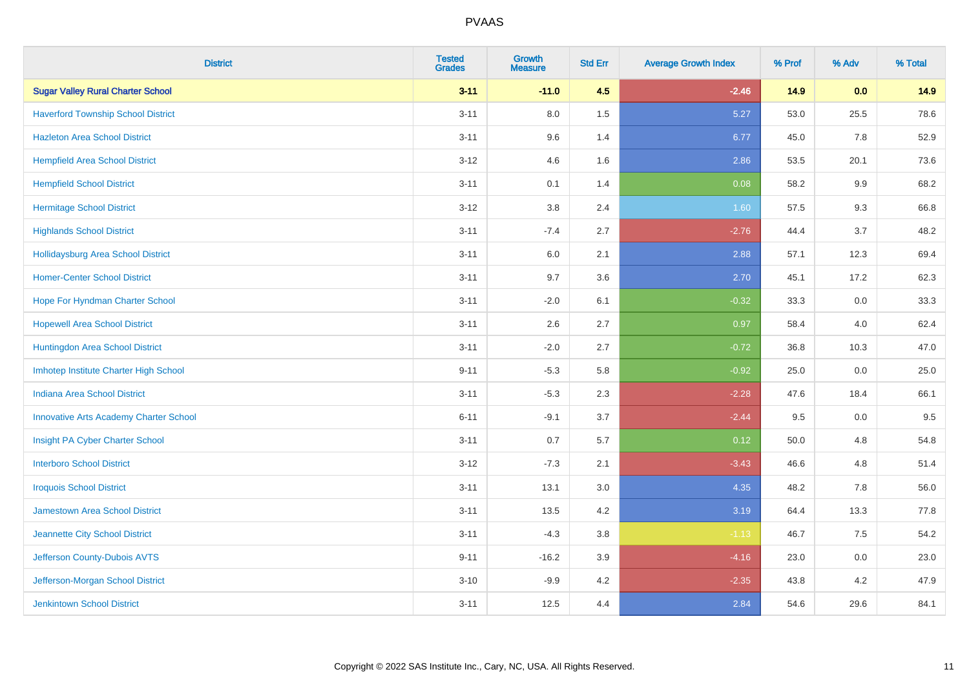| <b>District</b>                               | <b>Tested</b><br><b>Grades</b> | Growth<br><b>Measure</b> | <b>Std Err</b> | <b>Average Growth Index</b> | % Prof | % Adv   | % Total |
|-----------------------------------------------|--------------------------------|--------------------------|----------------|-----------------------------|--------|---------|---------|
| <b>Sugar Valley Rural Charter School</b>      | $3 - 11$                       | $-11.0$                  | 4.5            | $-2.46$                     | 14.9   | 0.0     | 14.9    |
| <b>Haverford Township School District</b>     | $3 - 11$                       | 8.0                      | 1.5            | 5.27                        | 53.0   | 25.5    | 78.6    |
| <b>Hazleton Area School District</b>          | $3 - 11$                       | 9.6                      | 1.4            | 6.77                        | 45.0   | 7.8     | 52.9    |
| <b>Hempfield Area School District</b>         | $3 - 12$                       | 4.6                      | 1.6            | 2.86                        | 53.5   | 20.1    | 73.6    |
| <b>Hempfield School District</b>              | $3 - 11$                       | 0.1                      | 1.4            | 0.08                        | 58.2   | $9.9\,$ | 68.2    |
| <b>Hermitage School District</b>              | $3 - 12$                       | 3.8                      | 2.4            | 1.60                        | 57.5   | 9.3     | 66.8    |
| <b>Highlands School District</b>              | $3 - 11$                       | $-7.4$                   | 2.7            | $-2.76$                     | 44.4   | 3.7     | 48.2    |
| <b>Hollidaysburg Area School District</b>     | $3 - 11$                       | $6.0\,$                  | 2.1            | 2.88                        | 57.1   | 12.3    | 69.4    |
| <b>Homer-Center School District</b>           | $3 - 11$                       | 9.7                      | 3.6            | 2.70                        | 45.1   | 17.2    | 62.3    |
| Hope For Hyndman Charter School               | $3 - 11$                       | $-2.0$                   | 6.1            | $-0.32$                     | 33.3   | 0.0     | 33.3    |
| <b>Hopewell Area School District</b>          | $3 - 11$                       | 2.6                      | 2.7            | 0.97                        | 58.4   | 4.0     | 62.4    |
| Huntingdon Area School District               | $3 - 11$                       | $-2.0$                   | 2.7            | $-0.72$                     | 36.8   | 10.3    | 47.0    |
| Imhotep Institute Charter High School         | $9 - 11$                       | $-5.3$                   | 5.8            | $-0.92$                     | 25.0   | 0.0     | 25.0    |
| <b>Indiana Area School District</b>           | $3 - 11$                       | $-5.3$                   | 2.3            | $-2.28$                     | 47.6   | 18.4    | 66.1    |
| <b>Innovative Arts Academy Charter School</b> | $6 - 11$                       | $-9.1$                   | 3.7            | $-2.44$                     | 9.5    | 0.0     | 9.5     |
| Insight PA Cyber Charter School               | $3 - 11$                       | 0.7                      | 5.7            | 0.12                        | 50.0   | 4.8     | 54.8    |
| <b>Interboro School District</b>              | $3 - 12$                       | $-7.3$                   | 2.1            | $-3.43$                     | 46.6   | 4.8     | 51.4    |
| <b>Iroquois School District</b>               | $3 - 11$                       | 13.1                     | 3.0            | 4.35                        | 48.2   | 7.8     | 56.0    |
| <b>Jamestown Area School District</b>         | $3 - 11$                       | 13.5                     | 4.2            | 3.19                        | 64.4   | 13.3    | 77.8    |
| Jeannette City School District                | $3 - 11$                       | $-4.3$                   | 3.8            | $-1.13$                     | 46.7   | 7.5     | 54.2    |
| Jefferson County-Dubois AVTS                  | $9 - 11$                       | $-16.2$                  | 3.9            | $-4.16$                     | 23.0   | 0.0     | 23.0    |
| Jefferson-Morgan School District              | $3 - 10$                       | $-9.9$                   | 4.2            | $-2.35$                     | 43.8   | 4.2     | 47.9    |
| Jenkintown School District                    | $3 - 11$                       | 12.5                     | 4.4            | 2.84                        | 54.6   | 29.6    | 84.1    |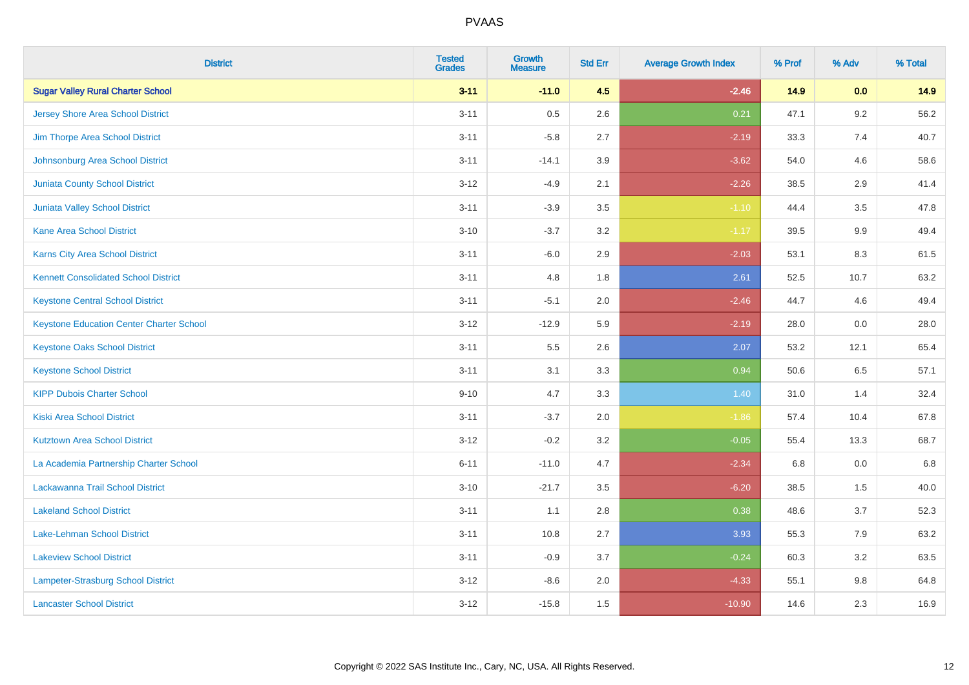| <b>District</b>                                 | <b>Tested</b><br><b>Grades</b> | <b>Growth</b><br><b>Measure</b> | <b>Std Err</b> | <b>Average Growth Index</b> | % Prof | % Adv   | % Total |
|-------------------------------------------------|--------------------------------|---------------------------------|----------------|-----------------------------|--------|---------|---------|
| <b>Sugar Valley Rural Charter School</b>        | $3 - 11$                       | $-11.0$                         | 4.5            | $-2.46$                     | 14.9   | 0.0     | 14.9    |
| <b>Jersey Shore Area School District</b>        | $3 - 11$                       | 0.5                             | 2.6            | 0.21                        | 47.1   | $9.2\,$ | 56.2    |
| Jim Thorpe Area School District                 | $3 - 11$                       | $-5.8$                          | 2.7            | $-2.19$                     | 33.3   | 7.4     | 40.7    |
| Johnsonburg Area School District                | $3 - 11$                       | $-14.1$                         | 3.9            | $-3.62$                     | 54.0   | 4.6     | 58.6    |
| Juniata County School District                  | $3 - 12$                       | $-4.9$                          | 2.1            | $-2.26$                     | 38.5   | 2.9     | 41.4    |
| Juniata Valley School District                  | $3 - 11$                       | $-3.9$                          | 3.5            | $-1.10$                     | 44.4   | 3.5     | 47.8    |
| <b>Kane Area School District</b>                | $3 - 10$                       | $-3.7$                          | 3.2            | $-1.17$                     | 39.5   | 9.9     | 49.4    |
| <b>Karns City Area School District</b>          | $3 - 11$                       | $-6.0$                          | 2.9            | $-2.03$                     | 53.1   | 8.3     | 61.5    |
| <b>Kennett Consolidated School District</b>     | $3 - 11$                       | 4.8                             | 1.8            | 2.61                        | 52.5   | 10.7    | 63.2    |
| <b>Keystone Central School District</b>         | $3 - 11$                       | $-5.1$                          | 2.0            | $-2.46$                     | 44.7   | 4.6     | 49.4    |
| <b>Keystone Education Center Charter School</b> | $3 - 12$                       | $-12.9$                         | 5.9            | $-2.19$                     | 28.0   | 0.0     | 28.0    |
| <b>Keystone Oaks School District</b>            | $3 - 11$                       | 5.5                             | 2.6            | 2.07                        | 53.2   | 12.1    | 65.4    |
| <b>Keystone School District</b>                 | $3 - 11$                       | 3.1                             | 3.3            | 0.94                        | 50.6   | $6.5\,$ | 57.1    |
| <b>KIPP Dubois Charter School</b>               | $9 - 10$                       | 4.7                             | 3.3            | 1.40                        | 31.0   | 1.4     | 32.4    |
| <b>Kiski Area School District</b>               | $3 - 11$                       | $-3.7$                          | 2.0            | $-1.86$                     | 57.4   | 10.4    | 67.8    |
| <b>Kutztown Area School District</b>            | $3 - 12$                       | $-0.2$                          | 3.2            | $-0.05$                     | 55.4   | 13.3    | 68.7    |
| La Academia Partnership Charter School          | $6 - 11$                       | $-11.0$                         | 4.7            | $-2.34$                     | 6.8    | 0.0     | 6.8     |
| Lackawanna Trail School District                | $3 - 10$                       | $-21.7$                         | 3.5            | $-6.20$                     | 38.5   | 1.5     | 40.0    |
| <b>Lakeland School District</b>                 | $3 - 11$                       | 1.1                             | 2.8            | 0.38                        | 48.6   | 3.7     | 52.3    |
| Lake-Lehman School District                     | $3 - 11$                       | 10.8                            | 2.7            | 3.93                        | 55.3   | 7.9     | 63.2    |
| <b>Lakeview School District</b>                 | $3 - 11$                       | $-0.9$                          | 3.7            | $-0.24$                     | 60.3   | 3.2     | 63.5    |
| Lampeter-Strasburg School District              | $3 - 12$                       | $-8.6$                          | 2.0            | $-4.33$                     | 55.1   | 9.8     | 64.8    |
| <b>Lancaster School District</b>                | $3 - 12$                       | $-15.8$                         | 1.5            | $-10.90$                    | 14.6   | 2.3     | 16.9    |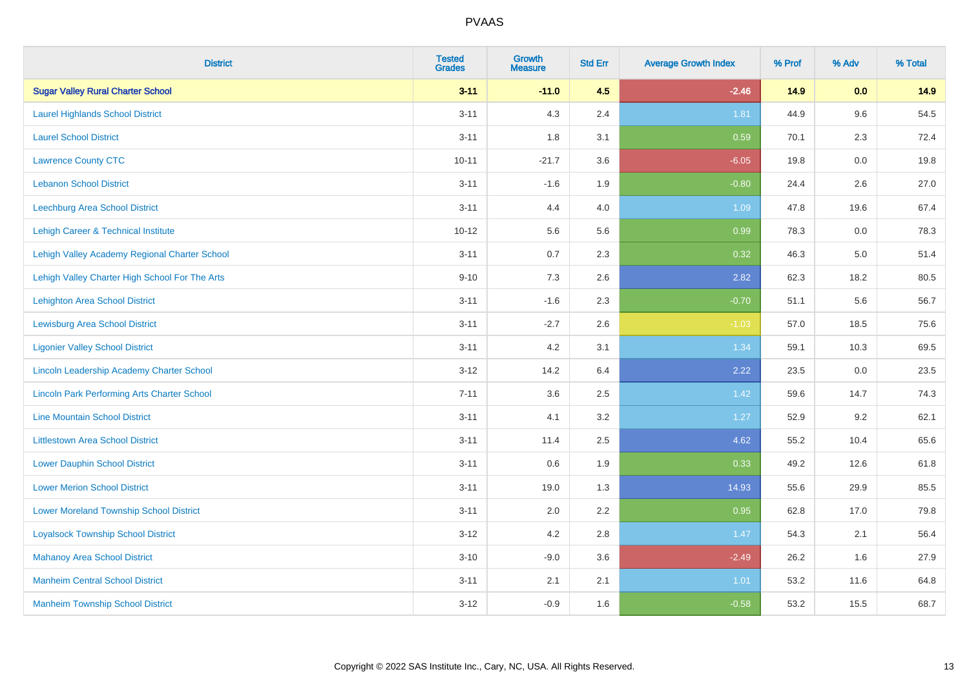| <b>District</b>                                    | <b>Tested</b><br><b>Grades</b> | Growth<br><b>Measure</b> | <b>Std Err</b> | <b>Average Growth Index</b> | % Prof | % Adv   | % Total |
|----------------------------------------------------|--------------------------------|--------------------------|----------------|-----------------------------|--------|---------|---------|
| <b>Sugar Valley Rural Charter School</b>           | $3 - 11$                       | $-11.0$                  | 4.5            | $-2.46$                     | 14.9   | 0.0     | 14.9    |
| <b>Laurel Highlands School District</b>            | $3 - 11$                       | 4.3                      | 2.4            | 1.81                        | 44.9   | 9.6     | 54.5    |
| <b>Laurel School District</b>                      | $3 - 11$                       | 1.8                      | 3.1            | 0.59                        | 70.1   | 2.3     | 72.4    |
| <b>Lawrence County CTC</b>                         | $10 - 11$                      | $-21.7$                  | 3.6            | $-6.05$                     | 19.8   | $0.0\,$ | 19.8    |
| <b>Lebanon School District</b>                     | $3 - 11$                       | $-1.6$                   | 1.9            | $-0.80$                     | 24.4   | 2.6     | 27.0    |
| Leechburg Area School District                     | $3 - 11$                       | 4.4                      | 4.0            | 1.09                        | 47.8   | 19.6    | 67.4    |
| Lehigh Career & Technical Institute                | $10 - 12$                      | 5.6                      | 5.6            | 0.99                        | 78.3   | 0.0     | 78.3    |
| Lehigh Valley Academy Regional Charter School      | $3 - 11$                       | 0.7                      | 2.3            | 0.32                        | 46.3   | 5.0     | 51.4    |
| Lehigh Valley Charter High School For The Arts     | $9 - 10$                       | 7.3                      | 2.6            | 2.82                        | 62.3   | 18.2    | 80.5    |
| <b>Lehighton Area School District</b>              | $3 - 11$                       | $-1.6$                   | 2.3            | $-0.70$                     | 51.1   | 5.6     | 56.7    |
| <b>Lewisburg Area School District</b>              | $3 - 11$                       | $-2.7$                   | 2.6            | $-1.03$                     | 57.0   | 18.5    | 75.6    |
| <b>Ligonier Valley School District</b>             | $3 - 11$                       | 4.2                      | 3.1            | 1.34                        | 59.1   | 10.3    | 69.5    |
| Lincoln Leadership Academy Charter School          | $3 - 12$                       | 14.2                     | 6.4            | 2.22                        | 23.5   | 0.0     | 23.5    |
| <b>Lincoln Park Performing Arts Charter School</b> | $7 - 11$                       | 3.6                      | 2.5            | 1.42                        | 59.6   | 14.7    | 74.3    |
| <b>Line Mountain School District</b>               | $3 - 11$                       | 4.1                      | 3.2            | 1.27                        | 52.9   | 9.2     | 62.1    |
| <b>Littlestown Area School District</b>            | $3 - 11$                       | 11.4                     | 2.5            | 4.62                        | 55.2   | 10.4    | 65.6    |
| <b>Lower Dauphin School District</b>               | $3 - 11$                       | 0.6                      | 1.9            | 0.33                        | 49.2   | 12.6    | 61.8    |
| <b>Lower Merion School District</b>                | $3 - 11$                       | 19.0                     | 1.3            | 14.93                       | 55.6   | 29.9    | 85.5    |
| <b>Lower Moreland Township School District</b>     | $3 - 11$                       | 2.0                      | 2.2            | 0.95                        | 62.8   | 17.0    | 79.8    |
| <b>Loyalsock Township School District</b>          | $3 - 12$                       | 4.2                      | 2.8            | 1.47                        | 54.3   | 2.1     | 56.4    |
| <b>Mahanoy Area School District</b>                | $3 - 10$                       | $-9.0$                   | 3.6            | $-2.49$                     | 26.2   | 1.6     | 27.9    |
| <b>Manheim Central School District</b>             | $3 - 11$                       | 2.1                      | 2.1            | 1.01                        | 53.2   | 11.6    | 64.8    |
| <b>Manheim Township School District</b>            | $3 - 12$                       | $-0.9$                   | 1.6            | $-0.58$                     | 53.2   | 15.5    | 68.7    |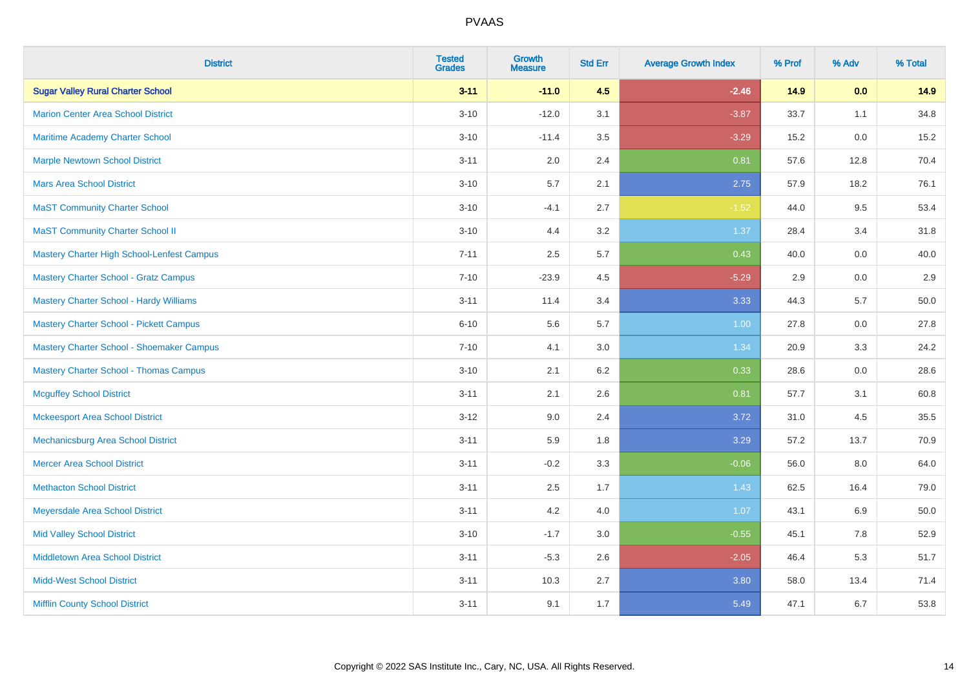| <b>District</b>                                   | <b>Tested</b><br><b>Grades</b> | <b>Growth</b><br><b>Measure</b> | <b>Std Err</b> | <b>Average Growth Index</b> | % Prof | % Adv   | % Total |
|---------------------------------------------------|--------------------------------|---------------------------------|----------------|-----------------------------|--------|---------|---------|
| <b>Sugar Valley Rural Charter School</b>          | $3 - 11$                       | $-11.0$                         | 4.5            | $-2.46$                     | 14.9   | 0.0     | 14.9    |
| <b>Marion Center Area School District</b>         | $3 - 10$                       | $-12.0$                         | 3.1            | $-3.87$                     | 33.7   | 1.1     | 34.8    |
| <b>Maritime Academy Charter School</b>            | $3 - 10$                       | $-11.4$                         | 3.5            | $-3.29$                     | 15.2   | 0.0     | 15.2    |
| <b>Marple Newtown School District</b>             | $3 - 11$                       | 2.0                             | 2.4            | 0.81                        | 57.6   | 12.8    | 70.4    |
| <b>Mars Area School District</b>                  | $3 - 10$                       | 5.7                             | 2.1            | 2.75                        | 57.9   | 18.2    | 76.1    |
| <b>MaST Community Charter School</b>              | $3 - 10$                       | $-4.1$                          | 2.7            | $-1.52$                     | 44.0   | 9.5     | 53.4    |
| <b>MaST Community Charter School II</b>           | $3 - 10$                       | 4.4                             | 3.2            | 1.37                        | 28.4   | 3.4     | 31.8    |
| <b>Mastery Charter High School-Lenfest Campus</b> | $7 - 11$                       | 2.5                             | 5.7            | 0.43                        | 40.0   | 0.0     | 40.0    |
| <b>Mastery Charter School - Gratz Campus</b>      | $7 - 10$                       | $-23.9$                         | 4.5            | $-5.29$                     | 2.9    | 0.0     | 2.9     |
| <b>Mastery Charter School - Hardy Williams</b>    | $3 - 11$                       | 11.4                            | 3.4            | 3.33                        | 44.3   | 5.7     | 50.0    |
| <b>Mastery Charter School - Pickett Campus</b>    | $6 - 10$                       | 5.6                             | 5.7            | 1.00                        | 27.8   | 0.0     | 27.8    |
| Mastery Charter School - Shoemaker Campus         | $7 - 10$                       | 4.1                             | 3.0            | 1.34                        | 20.9   | 3.3     | 24.2    |
| <b>Mastery Charter School - Thomas Campus</b>     | $3 - 10$                       | 2.1                             | 6.2            | 0.33                        | 28.6   | $0.0\,$ | 28.6    |
| <b>Mcguffey School District</b>                   | $3 - 11$                       | 2.1                             | 2.6            | 0.81                        | 57.7   | 3.1     | 60.8    |
| <b>Mckeesport Area School District</b>            | $3 - 12$                       | 9.0                             | 2.4            | 3.72                        | 31.0   | 4.5     | 35.5    |
| Mechanicsburg Area School District                | $3 - 11$                       | 5.9                             | 1.8            | 3.29                        | 57.2   | 13.7    | 70.9    |
| <b>Mercer Area School District</b>                | $3 - 11$                       | $-0.2$                          | 3.3            | $-0.06$                     | 56.0   | 8.0     | 64.0    |
| <b>Methacton School District</b>                  | $3 - 11$                       | 2.5                             | 1.7            | 1.43                        | 62.5   | 16.4    | 79.0    |
| Meyersdale Area School District                   | $3 - 11$                       | 4.2                             | 4.0            | 1.07                        | 43.1   | 6.9     | 50.0    |
| <b>Mid Valley School District</b>                 | $3 - 10$                       | $-1.7$                          | 3.0            | $-0.55$                     | 45.1   | 7.8     | 52.9    |
| <b>Middletown Area School District</b>            | $3 - 11$                       | $-5.3$                          | 2.6            | $-2.05$                     | 46.4   | 5.3     | 51.7    |
| <b>Midd-West School District</b>                  | $3 - 11$                       | 10.3                            | 2.7            | 3.80                        | 58.0   | 13.4    | 71.4    |
| <b>Mifflin County School District</b>             | $3 - 11$                       | 9.1                             | 1.7            | 5.49                        | 47.1   | 6.7     | 53.8    |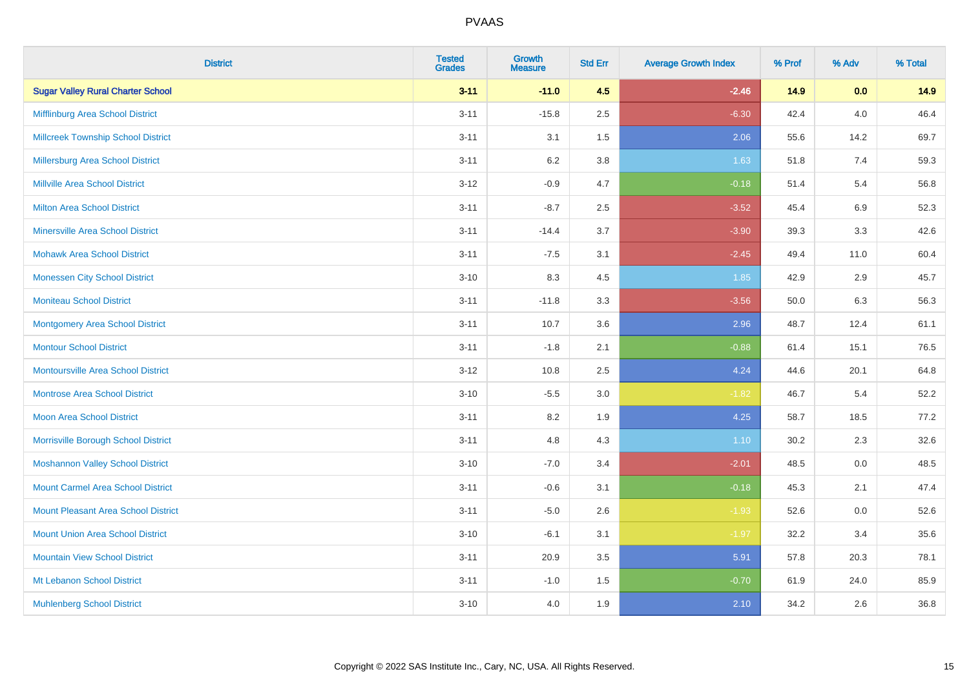| <b>District</b>                            | <b>Tested</b><br><b>Grades</b> | <b>Growth</b><br><b>Measure</b> | <b>Std Err</b> | <b>Average Growth Index</b> | % Prof | % Adv   | % Total |
|--------------------------------------------|--------------------------------|---------------------------------|----------------|-----------------------------|--------|---------|---------|
| <b>Sugar Valley Rural Charter School</b>   | $3 - 11$                       | $-11.0$                         | 4.5            | $-2.46$                     | 14.9   | 0.0     | 14.9    |
| Mifflinburg Area School District           | $3 - 11$                       | $-15.8$                         | 2.5            | $-6.30$                     | 42.4   | 4.0     | 46.4    |
| <b>Millcreek Township School District</b>  | $3 - 11$                       | 3.1                             | 1.5            | 2.06                        | 55.6   | 14.2    | 69.7    |
| <b>Millersburg Area School District</b>    | $3 - 11$                       | 6.2                             | 3.8            | 1.63                        | 51.8   | 7.4     | 59.3    |
| <b>Millville Area School District</b>      | $3 - 12$                       | $-0.9$                          | 4.7            | $-0.18$                     | 51.4   | 5.4     | 56.8    |
| <b>Milton Area School District</b>         | $3 - 11$                       | $-8.7$                          | 2.5            | $-3.52$                     | 45.4   | $6.9\,$ | 52.3    |
| <b>Minersville Area School District</b>    | $3 - 11$                       | $-14.4$                         | 3.7            | $-3.90$                     | 39.3   | 3.3     | 42.6    |
| <b>Mohawk Area School District</b>         | $3 - 11$                       | $-7.5$                          | 3.1            | $-2.45$                     | 49.4   | 11.0    | 60.4    |
| <b>Monessen City School District</b>       | $3 - 10$                       | 8.3                             | 4.5            | 1.85                        | 42.9   | 2.9     | 45.7    |
| <b>Moniteau School District</b>            | $3 - 11$                       | $-11.8$                         | 3.3            | $-3.56$                     | 50.0   | 6.3     | 56.3    |
| <b>Montgomery Area School District</b>     | $3 - 11$                       | 10.7                            | 3.6            | 2.96                        | 48.7   | 12.4    | 61.1    |
| <b>Montour School District</b>             | $3 - 11$                       | $-1.8$                          | 2.1            | $-0.88$                     | 61.4   | 15.1    | 76.5    |
| <b>Montoursville Area School District</b>  | $3 - 12$                       | 10.8                            | 2.5            | 4.24                        | 44.6   | 20.1    | 64.8    |
| <b>Montrose Area School District</b>       | $3 - 10$                       | $-5.5$                          | 3.0            | $-1.82$                     | 46.7   | 5.4     | 52.2    |
| Moon Area School District                  | $3 - 11$                       | 8.2                             | 1.9            | 4.25                        | 58.7   | 18.5    | 77.2    |
| Morrisville Borough School District        | $3 - 11$                       | 4.8                             | 4.3            | 1.10                        | 30.2   | 2.3     | 32.6    |
| <b>Moshannon Valley School District</b>    | $3 - 10$                       | $-7.0$                          | 3.4            | $-2.01$                     | 48.5   | 0.0     | 48.5    |
| <b>Mount Carmel Area School District</b>   | $3 - 11$                       | $-0.6$                          | 3.1            | $-0.18$                     | 45.3   | 2.1     | 47.4    |
| <b>Mount Pleasant Area School District</b> | $3 - 11$                       | $-5.0$                          | 2.6            | $-1.93$                     | 52.6   | 0.0     | 52.6    |
| <b>Mount Union Area School District</b>    | $3 - 10$                       | $-6.1$                          | 3.1            | $-1.97$                     | 32.2   | 3.4     | 35.6    |
| <b>Mountain View School District</b>       | $3 - 11$                       | 20.9                            | 3.5            | 5.91                        | 57.8   | 20.3    | 78.1    |
| Mt Lebanon School District                 | $3 - 11$                       | $-1.0$                          | 1.5            | $-0.70$                     | 61.9   | 24.0    | 85.9    |
| <b>Muhlenberg School District</b>          | $3 - 10$                       | 4.0                             | 1.9            | 2.10                        | 34.2   | 2.6     | 36.8    |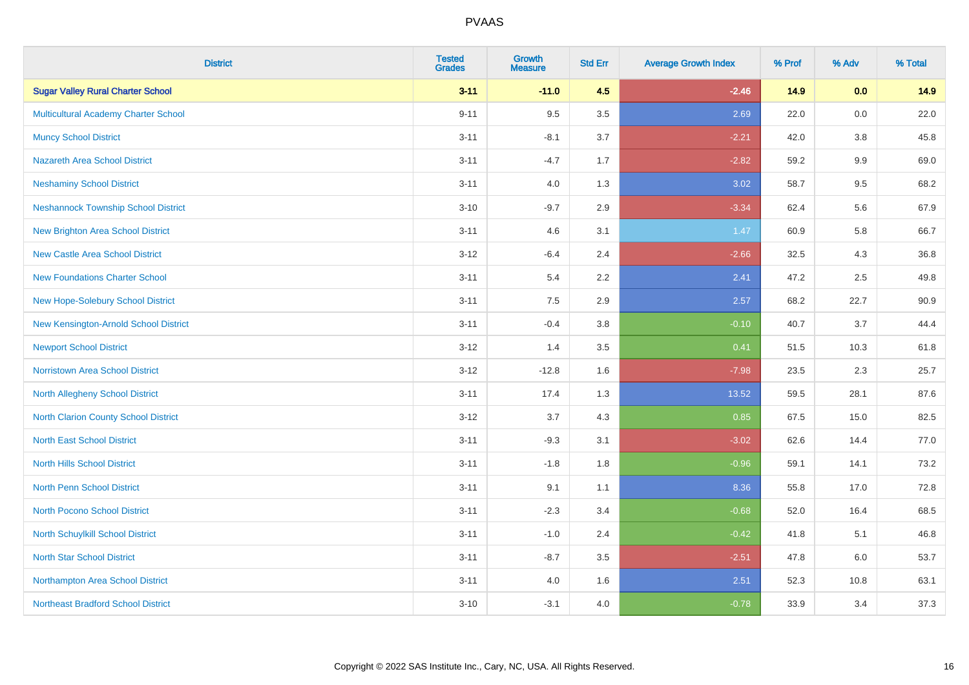| <b>District</b>                            | <b>Tested</b><br><b>Grades</b> | Growth<br><b>Measure</b> | <b>Std Err</b> | <b>Average Growth Index</b> | % Prof | % Adv   | % Total |
|--------------------------------------------|--------------------------------|--------------------------|----------------|-----------------------------|--------|---------|---------|
| <b>Sugar Valley Rural Charter School</b>   | $3 - 11$                       | $-11.0$                  | 4.5            | $-2.46$                     | 14.9   | 0.0     | 14.9    |
| Multicultural Academy Charter School       | $9 - 11$                       | 9.5                      | 3.5            | 2.69                        | 22.0   | $0.0\,$ | 22.0    |
| <b>Muncy School District</b>               | $3 - 11$                       | $-8.1$                   | 3.7            | $-2.21$                     | 42.0   | 3.8     | 45.8    |
| <b>Nazareth Area School District</b>       | $3 - 11$                       | $-4.7$                   | 1.7            | $-2.82$                     | 59.2   | 9.9     | 69.0    |
| <b>Neshaminy School District</b>           | $3 - 11$                       | 4.0                      | 1.3            | 3.02                        | 58.7   | 9.5     | 68.2    |
| <b>Neshannock Township School District</b> | $3 - 10$                       | $-9.7$                   | 2.9            | $-3.34$                     | 62.4   | 5.6     | 67.9    |
| <b>New Brighton Area School District</b>   | $3 - 11$                       | 4.6                      | 3.1            | 1.47                        | 60.9   | 5.8     | 66.7    |
| <b>New Castle Area School District</b>     | $3 - 12$                       | $-6.4$                   | 2.4            | $-2.66$                     | 32.5   | 4.3     | 36.8    |
| <b>New Foundations Charter School</b>      | $3 - 11$                       | 5.4                      | 2.2            | 2.41                        | 47.2   | 2.5     | 49.8    |
| New Hope-Solebury School District          | $3 - 11$                       | 7.5                      | 2.9            | 2.57                        | 68.2   | 22.7    | 90.9    |
| New Kensington-Arnold School District      | $3 - 11$                       | $-0.4$                   | 3.8            | $-0.10$                     | 40.7   | 3.7     | 44.4    |
| <b>Newport School District</b>             | $3 - 12$                       | 1.4                      | 3.5            | 0.41                        | 51.5   | 10.3    | 61.8    |
| <b>Norristown Area School District</b>     | $3 - 12$                       | $-12.8$                  | 1.6            | $-7.98$                     | 23.5   | 2.3     | 25.7    |
| North Allegheny School District            | $3 - 11$                       | 17.4                     | 1.3            | 13.52                       | 59.5   | 28.1    | 87.6    |
| North Clarion County School District       | $3 - 12$                       | 3.7                      | 4.3            | 0.85                        | 67.5   | 15.0    | 82.5    |
| <b>North East School District</b>          | $3 - 11$                       | $-9.3$                   | 3.1            | $-3.02$                     | 62.6   | 14.4    | 77.0    |
| <b>North Hills School District</b>         | $3 - 11$                       | $-1.8$                   | 1.8            | $-0.96$                     | 59.1   | 14.1    | 73.2    |
| <b>North Penn School District</b>          | $3 - 11$                       | 9.1                      | 1.1            | 8.36                        | 55.8   | 17.0    | 72.8    |
| North Pocono School District               | $3 - 11$                       | $-2.3$                   | 3.4            | $-0.68$                     | 52.0   | 16.4    | 68.5    |
| North Schuylkill School District           | $3 - 11$                       | $-1.0$                   | 2.4            | $-0.42$                     | 41.8   | 5.1     | 46.8    |
| <b>North Star School District</b>          | $3 - 11$                       | $-8.7$                   | 3.5            | $-2.51$                     | 47.8   | 6.0     | 53.7    |
| Northampton Area School District           | $3 - 11$                       | 4.0                      | 1.6            | 2.51                        | 52.3   | 10.8    | 63.1    |
| <b>Northeast Bradford School District</b>  | $3 - 10$                       | $-3.1$                   | 4.0            | $-0.78$                     | 33.9   | 3.4     | 37.3    |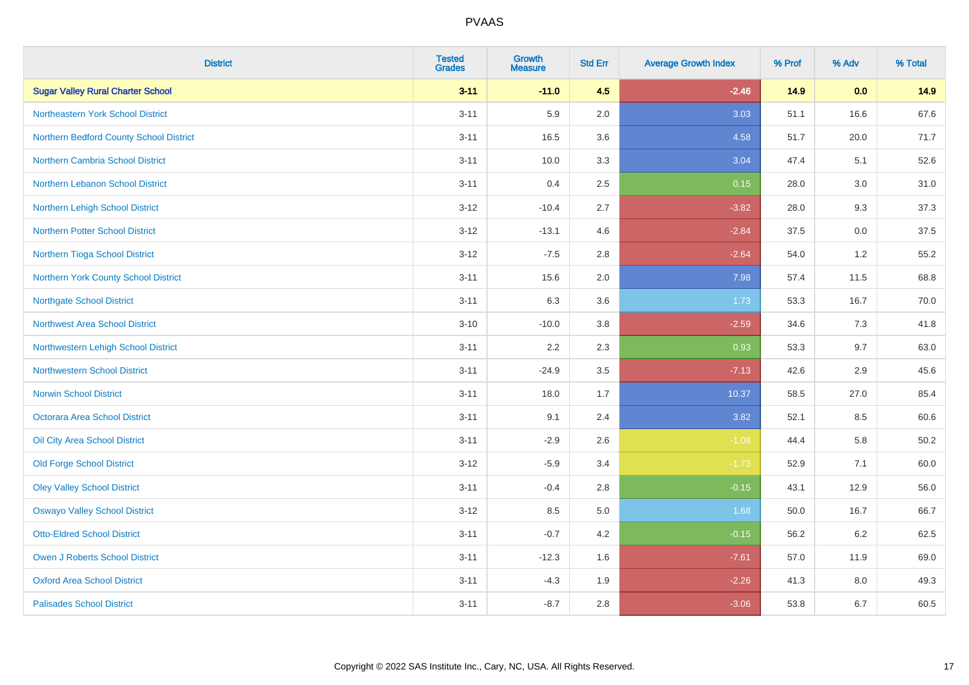| <b>District</b>                          | <b>Tested</b><br><b>Grades</b> | <b>Growth</b><br><b>Measure</b> | <b>Std Err</b> | <b>Average Growth Index</b> | % Prof | % Adv | % Total  |
|------------------------------------------|--------------------------------|---------------------------------|----------------|-----------------------------|--------|-------|----------|
| <b>Sugar Valley Rural Charter School</b> | $3 - 11$                       | $-11.0$                         | 4.5            | $-2.46$                     | 14.9   | 0.0   | 14.9     |
| Northeastern York School District        | $3 - 11$                       | 5.9                             | 2.0            | 3.03                        | 51.1   | 16.6  | 67.6     |
| Northern Bedford County School District  | $3 - 11$                       | 16.5                            | 3.6            | 4.58                        | 51.7   | 20.0  | 71.7     |
| <b>Northern Cambria School District</b>  | $3 - 11$                       | 10.0                            | 3.3            | 3.04                        | 47.4   | 5.1   | 52.6     |
| Northern Lebanon School District         | $3 - 11$                       | 0.4                             | 2.5            | 0.15                        | 28.0   | 3.0   | 31.0     |
| Northern Lehigh School District          | $3 - 12$                       | $-10.4$                         | 2.7            | $-3.82$                     | 28.0   | 9.3   | 37.3     |
| <b>Northern Potter School District</b>   | $3 - 12$                       | $-13.1$                         | 4.6            | $-2.84$                     | 37.5   | 0.0   | 37.5     |
| Northern Tioga School District           | $3 - 12$                       | $-7.5$                          | 2.8            | $-2.64$                     | 54.0   | 1.2   | 55.2     |
| Northern York County School District     | $3 - 11$                       | 15.6                            | 2.0            | 7.98                        | 57.4   | 11.5  | 68.8     |
| <b>Northgate School District</b>         | $3 - 11$                       | 6.3                             | 3.6            | 1.73                        | 53.3   | 16.7  | 70.0     |
| <b>Northwest Area School District</b>    | $3 - 10$                       | $-10.0$                         | $3.8\,$        | $-2.59$                     | 34.6   | 7.3   | 41.8     |
| Northwestern Lehigh School District      | $3 - 11$                       | 2.2                             | 2.3            | 0.93                        | 53.3   | 9.7   | 63.0     |
| <b>Northwestern School District</b>      | $3 - 11$                       | $-24.9$                         | 3.5            | $-7.13$                     | 42.6   | 2.9   | 45.6     |
| <b>Norwin School District</b>            | $3 - 11$                       | 18.0                            | 1.7            | 10.37                       | 58.5   | 27.0  | 85.4     |
| Octorara Area School District            | $3 - 11$                       | 9.1                             | 2.4            | 3.82                        | 52.1   | 8.5   | 60.6     |
| Oil City Area School District            | $3 - 11$                       | $-2.9$                          | 2.6            | $-1.08$                     | 44.4   | 5.8   | $50.2\,$ |
| <b>Old Forge School District</b>         | $3-12$                         | $-5.9$                          | 3.4            | $-1.73$                     | 52.9   | 7.1   | 60.0     |
| <b>Oley Valley School District</b>       | $3 - 11$                       | $-0.4$                          | 2.8            | $-0.15$                     | 43.1   | 12.9  | 56.0     |
| <b>Oswayo Valley School District</b>     | $3 - 12$                       | 8.5                             | $5.0\,$        | 1.68                        | 50.0   | 16.7  | 66.7     |
| <b>Otto-Eldred School District</b>       | $3 - 11$                       | $-0.7$                          | 4.2            | $-0.15$                     | 56.2   | 6.2   | 62.5     |
| <b>Owen J Roberts School District</b>    | $3 - 11$                       | $-12.3$                         | 1.6            | $-7.61$                     | 57.0   | 11.9  | 69.0     |
| <b>Oxford Area School District</b>       | $3 - 11$                       | $-4.3$                          | 1.9            | $-2.26$                     | 41.3   | 8.0   | 49.3     |
| <b>Palisades School District</b>         | $3 - 11$                       | $-8.7$                          | 2.8            | $-3.06$                     | 53.8   | 6.7   | 60.5     |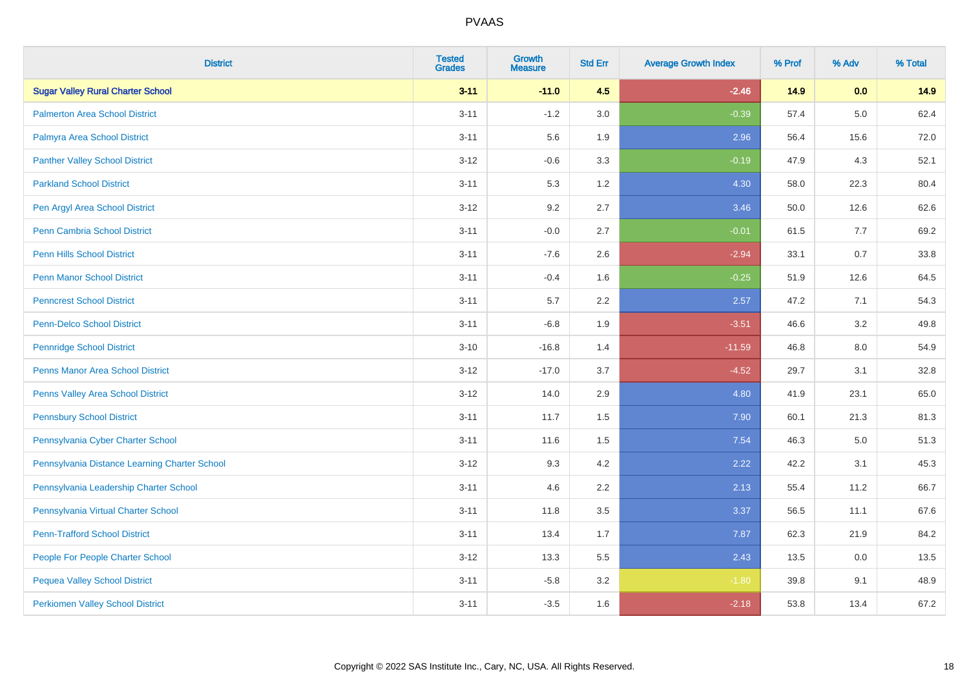| <b>District</b>                               | <b>Tested</b><br><b>Grades</b> | Growth<br><b>Measure</b> | <b>Std Err</b> | <b>Average Growth Index</b> | % Prof | % Adv   | % Total |
|-----------------------------------------------|--------------------------------|--------------------------|----------------|-----------------------------|--------|---------|---------|
| <b>Sugar Valley Rural Charter School</b>      | $3 - 11$                       | $-11.0$                  | 4.5            | $-2.46$                     | 14.9   | 0.0     | 14.9    |
| <b>Palmerton Area School District</b>         | $3 - 11$                       | $-1.2$                   | 3.0            | $-0.39$                     | 57.4   | $5.0\,$ | 62.4    |
| Palmyra Area School District                  | $3 - 11$                       | 5.6                      | 1.9            | 2.96                        | 56.4   | 15.6    | 72.0    |
| <b>Panther Valley School District</b>         | $3 - 12$                       | $-0.6$                   | 3.3            | $-0.19$                     | 47.9   | 4.3     | 52.1    |
| <b>Parkland School District</b>               | $3 - 11$                       | 5.3                      | 1.2            | 4.30                        | 58.0   | 22.3    | 80.4    |
| Pen Argyl Area School District                | $3 - 12$                       | 9.2                      | 2.7            | 3.46                        | 50.0   | 12.6    | 62.6    |
| <b>Penn Cambria School District</b>           | $3 - 11$                       | $-0.0$                   | 2.7            | $-0.01$                     | 61.5   | 7.7     | 69.2    |
| <b>Penn Hills School District</b>             | $3 - 11$                       | $-7.6$                   | 2.6            | $-2.94$                     | 33.1   | 0.7     | 33.8    |
| <b>Penn Manor School District</b>             | $3 - 11$                       | $-0.4$                   | 1.6            | $-0.25$                     | 51.9   | 12.6    | 64.5    |
| <b>Penncrest School District</b>              | $3 - 11$                       | 5.7                      | 2.2            | 2.57                        | 47.2   | 7.1     | 54.3    |
| <b>Penn-Delco School District</b>             | $3 - 11$                       | $-6.8$                   | 1.9            | $-3.51$                     | 46.6   | 3.2     | 49.8    |
| <b>Pennridge School District</b>              | $3 - 10$                       | $-16.8$                  | 1.4            | $-11.59$                    | 46.8   | 8.0     | 54.9    |
| Penns Manor Area School District              | $3 - 12$                       | $-17.0$                  | 3.7            | $-4.52$                     | 29.7   | 3.1     | 32.8    |
| Penns Valley Area School District             | $3 - 12$                       | 14.0                     | 2.9            | 4.80                        | 41.9   | 23.1    | 65.0    |
| <b>Pennsbury School District</b>              | $3 - 11$                       | 11.7                     | 1.5            | 7.90                        | 60.1   | 21.3    | 81.3    |
| Pennsylvania Cyber Charter School             | $3 - 11$                       | 11.6                     | 1.5            | 7.54                        | 46.3   | $5.0\,$ | 51.3    |
| Pennsylvania Distance Learning Charter School | $3 - 12$                       | 9.3                      | 4.2            | 2.22                        | 42.2   | 3.1     | 45.3    |
| Pennsylvania Leadership Charter School        | $3 - 11$                       | 4.6                      | 2.2            | 2.13                        | 55.4   | 11.2    | 66.7    |
| Pennsylvania Virtual Charter School           | $3 - 11$                       | 11.8                     | 3.5            | 3.37                        | 56.5   | 11.1    | 67.6    |
| <b>Penn-Trafford School District</b>          | $3 - 11$                       | 13.4                     | 1.7            | 7.87                        | 62.3   | 21.9    | 84.2    |
| People For People Charter School              | $3 - 12$                       | 13.3                     | 5.5            | 2.43                        | 13.5   | 0.0     | 13.5    |
| <b>Pequea Valley School District</b>          | $3 - 11$                       | $-5.8$                   | 3.2            | $-1.80$                     | 39.8   | 9.1     | 48.9    |
| <b>Perkiomen Valley School District</b>       | $3 - 11$                       | $-3.5$                   | 1.6            | $-2.18$                     | 53.8   | 13.4    | 67.2    |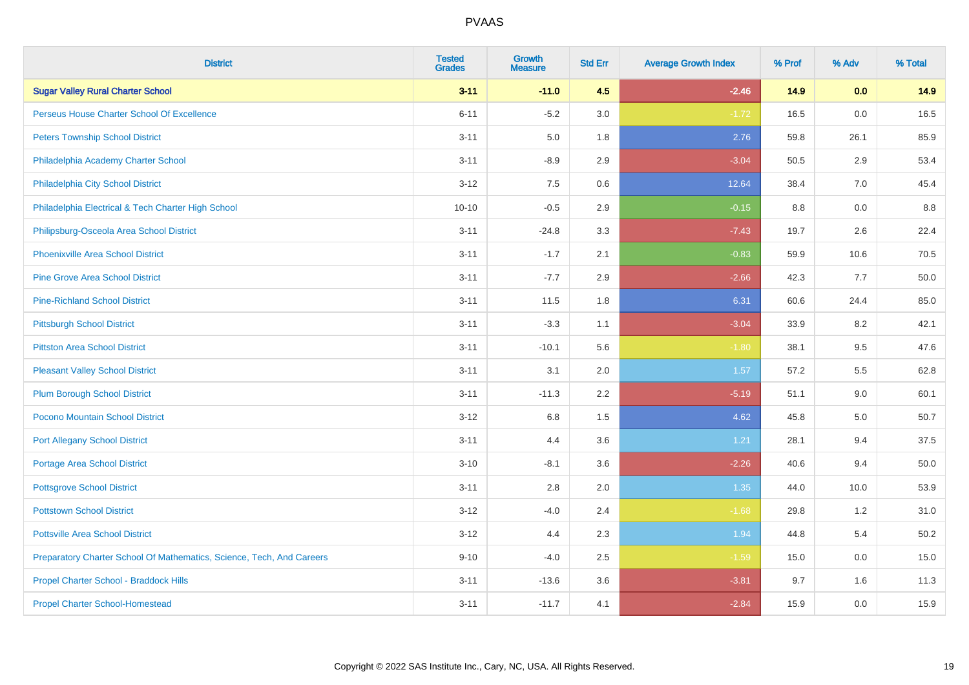| <b>District</b>                                                       | <b>Tested</b><br><b>Grades</b> | <b>Growth</b><br><b>Measure</b> | <b>Std Err</b> | <b>Average Growth Index</b> | % Prof | % Adv   | % Total |
|-----------------------------------------------------------------------|--------------------------------|---------------------------------|----------------|-----------------------------|--------|---------|---------|
| <b>Sugar Valley Rural Charter School</b>                              | $3 - 11$                       | $-11.0$                         | 4.5            | $-2.46$                     | 14.9   | 0.0     | 14.9    |
| Perseus House Charter School Of Excellence                            | $6 - 11$                       | $-5.2$                          | 3.0            | $-1.72$                     | 16.5   | 0.0     | 16.5    |
| <b>Peters Township School District</b>                                | $3 - 11$                       | 5.0                             | 1.8            | 2.76                        | 59.8   | 26.1    | 85.9    |
| Philadelphia Academy Charter School                                   | $3 - 11$                       | $-8.9$                          | 2.9            | $-3.04$                     | 50.5   | 2.9     | 53.4    |
| Philadelphia City School District                                     | $3 - 12$                       | 7.5                             | 0.6            | 12.64                       | 38.4   | 7.0     | 45.4    |
| Philadelphia Electrical & Tech Charter High School                    | $10 - 10$                      | $-0.5$                          | 2.9            | $-0.15$                     | 8.8    | 0.0     | 8.8     |
| Philipsburg-Osceola Area School District                              | $3 - 11$                       | $-24.8$                         | 3.3            | $-7.43$                     | 19.7   | 2.6     | 22.4    |
| <b>Phoenixville Area School District</b>                              | $3 - 11$                       | $-1.7$                          | 2.1            | $-0.83$                     | 59.9   | 10.6    | 70.5    |
| <b>Pine Grove Area School District</b>                                | $3 - 11$                       | $-7.7$                          | 2.9            | $-2.66$                     | 42.3   | 7.7     | 50.0    |
| <b>Pine-Richland School District</b>                                  | $3 - 11$                       | 11.5                            | 1.8            | 6.31                        | 60.6   | 24.4    | 85.0    |
| <b>Pittsburgh School District</b>                                     | $3 - 11$                       | $-3.3$                          | 1.1            | $-3.04$                     | 33.9   | 8.2     | 42.1    |
| <b>Pittston Area School District</b>                                  | $3 - 11$                       | $-10.1$                         | 5.6            | $-1.80$                     | 38.1   | 9.5     | 47.6    |
| <b>Pleasant Valley School District</b>                                | $3 - 11$                       | 3.1                             | 2.0            | 1.57                        | 57.2   | $5.5\,$ | 62.8    |
| <b>Plum Borough School District</b>                                   | $3 - 11$                       | $-11.3$                         | 2.2            | $-5.19$                     | 51.1   | 9.0     | 60.1    |
| Pocono Mountain School District                                       | $3 - 12$                       | $6.8\,$                         | 1.5            | 4.62                        | 45.8   | $5.0\,$ | 50.7    |
| <b>Port Allegany School District</b>                                  | $3 - 11$                       | 4.4                             | 3.6            | 1.21                        | 28.1   | 9.4     | 37.5    |
| <b>Portage Area School District</b>                                   | $3 - 10$                       | $-8.1$                          | 3.6            | $-2.26$                     | 40.6   | 9.4     | 50.0    |
| <b>Pottsgrove School District</b>                                     | $3 - 11$                       | 2.8                             | 2.0            | 1.35                        | 44.0   | 10.0    | 53.9    |
| <b>Pottstown School District</b>                                      | $3 - 12$                       | $-4.0$                          | 2.4            | $-1.68$                     | 29.8   | 1.2     | 31.0    |
| <b>Pottsville Area School District</b>                                | $3 - 12$                       | 4.4                             | 2.3            | 1.94                        | 44.8   | 5.4     | 50.2    |
| Preparatory Charter School Of Mathematics, Science, Tech, And Careers | $9 - 10$                       | $-4.0$                          | 2.5            | $-1.59$                     | 15.0   | 0.0     | 15.0    |
| Propel Charter School - Braddock Hills                                | $3 - 11$                       | $-13.6$                         | 3.6            | $-3.81$                     | 9.7    | 1.6     | 11.3    |
| <b>Propel Charter School-Homestead</b>                                | $3 - 11$                       | $-11.7$                         | 4.1            | $-2.84$                     | 15.9   | 0.0     | 15.9    |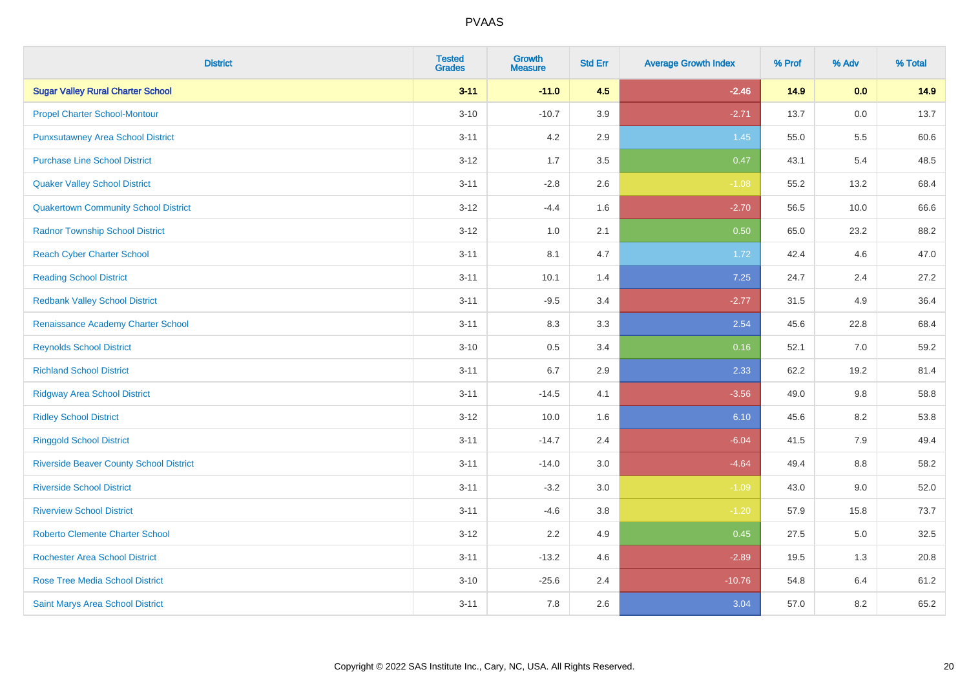| <b>District</b>                                | <b>Tested</b><br><b>Grades</b> | <b>Growth</b><br><b>Measure</b> | <b>Std Err</b> | <b>Average Growth Index</b> | % Prof | % Adv | % Total |
|------------------------------------------------|--------------------------------|---------------------------------|----------------|-----------------------------|--------|-------|---------|
| <b>Sugar Valley Rural Charter School</b>       | $3 - 11$                       | $-11.0$                         | 4.5            | $-2.46$                     | 14.9   | 0.0   | 14.9    |
| <b>Propel Charter School-Montour</b>           | $3 - 10$                       | $-10.7$                         | 3.9            | $-2.71$                     | 13.7   | 0.0   | 13.7    |
| <b>Punxsutawney Area School District</b>       | $3 - 11$                       | 4.2                             | 2.9            | 1.45                        | 55.0   | 5.5   | 60.6    |
| <b>Purchase Line School District</b>           | $3 - 12$                       | 1.7                             | 3.5            | 0.47                        | 43.1   | 5.4   | 48.5    |
| <b>Quaker Valley School District</b>           | $3 - 11$                       | $-2.8$                          | 2.6            | $-1.08$                     | 55.2   | 13.2  | 68.4    |
| <b>Quakertown Community School District</b>    | $3 - 12$                       | $-4.4$                          | 1.6            | $-2.70$                     | 56.5   | 10.0  | 66.6    |
| <b>Radnor Township School District</b>         | $3 - 12$                       | 1.0                             | 2.1            | 0.50                        | 65.0   | 23.2  | 88.2    |
| <b>Reach Cyber Charter School</b>              | $3 - 11$                       | 8.1                             | 4.7            | 1.72                        | 42.4   | 4.6   | 47.0    |
| <b>Reading School District</b>                 | $3 - 11$                       | 10.1                            | 1.4            | 7.25                        | 24.7   | 2.4   | 27.2    |
| <b>Redbank Valley School District</b>          | $3 - 11$                       | $-9.5$                          | 3.4            | $-2.77$                     | 31.5   | 4.9   | 36.4    |
| Renaissance Academy Charter School             | $3 - 11$                       | 8.3                             | 3.3            | 2.54                        | 45.6   | 22.8  | 68.4    |
| <b>Reynolds School District</b>                | $3 - 10$                       | 0.5                             | 3.4            | 0.16                        | 52.1   | 7.0   | 59.2    |
| <b>Richland School District</b>                | $3 - 11$                       | 6.7                             | 2.9            | 2.33                        | 62.2   | 19.2  | 81.4    |
| <b>Ridgway Area School District</b>            | $3 - 11$                       | $-14.5$                         | 4.1            | $-3.56$                     | 49.0   | 9.8   | 58.8    |
| <b>Ridley School District</b>                  | $3 - 12$                       | 10.0                            | 1.6            | 6.10                        | 45.6   | 8.2   | 53.8    |
| <b>Ringgold School District</b>                | $3 - 11$                       | $-14.7$                         | 2.4            | $-6.04$                     | 41.5   | 7.9   | 49.4    |
| <b>Riverside Beaver County School District</b> | $3 - 11$                       | $-14.0$                         | 3.0            | $-4.64$                     | 49.4   | 8.8   | 58.2    |
| <b>Riverside School District</b>               | $3 - 11$                       | $-3.2$                          | 3.0            | $-1.09$                     | 43.0   | 9.0   | 52.0    |
| <b>Riverview School District</b>               | $3 - 11$                       | $-4.6$                          | 3.8            | $-1.20$                     | 57.9   | 15.8  | 73.7    |
| <b>Roberto Clemente Charter School</b>         | $3 - 12$                       | 2.2                             | 4.9            | 0.45                        | 27.5   | 5.0   | 32.5    |
| <b>Rochester Area School District</b>          | $3 - 11$                       | $-13.2$                         | 4.6            | $-2.89$                     | 19.5   | 1.3   | 20.8    |
| <b>Rose Tree Media School District</b>         | $3 - 10$                       | $-25.6$                         | 2.4            | $-10.76$                    | 54.8   | 6.4   | 61.2    |
| <b>Saint Marys Area School District</b>        | $3 - 11$                       | 7.8                             | 2.6            | 3.04                        | 57.0   | 8.2   | 65.2    |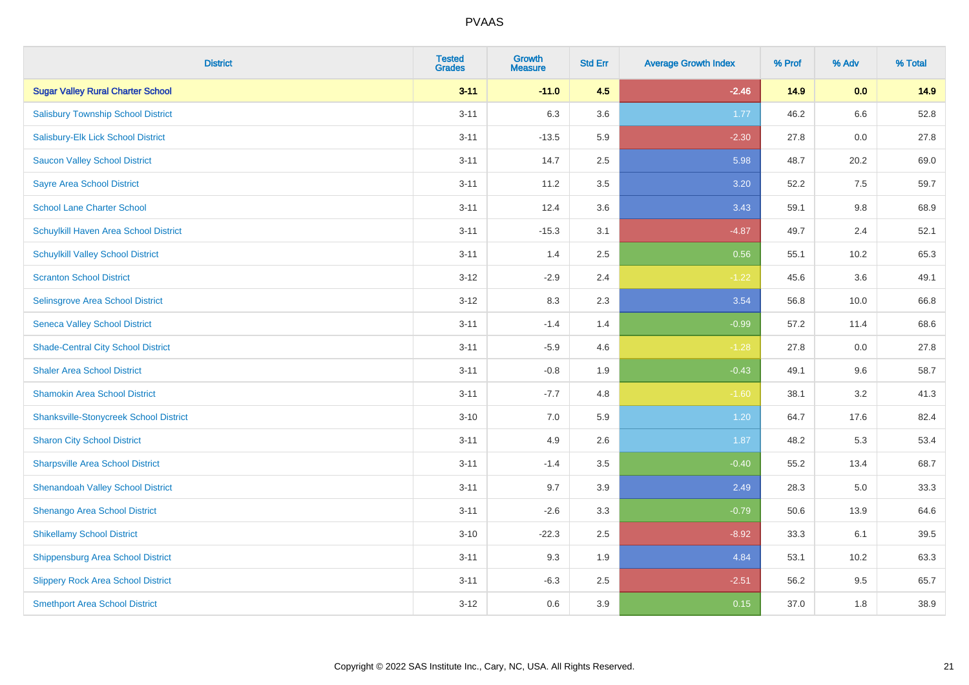| <b>District</b>                               | <b>Tested</b><br><b>Grades</b> | <b>Growth</b><br><b>Measure</b> | <b>Std Err</b> | <b>Average Growth Index</b> | % Prof | % Adv   | % Total |
|-----------------------------------------------|--------------------------------|---------------------------------|----------------|-----------------------------|--------|---------|---------|
| <b>Sugar Valley Rural Charter School</b>      | $3 - 11$                       | $-11.0$                         | 4.5            | $-2.46$                     | 14.9   | 0.0     | 14.9    |
| <b>Salisbury Township School District</b>     | $3 - 11$                       | 6.3                             | 3.6            | 1.77                        | 46.2   | $6.6\,$ | 52.8    |
| Salisbury-Elk Lick School District            | $3 - 11$                       | $-13.5$                         | 5.9            | $-2.30$                     | 27.8   | 0.0     | 27.8    |
| <b>Saucon Valley School District</b>          | $3 - 11$                       | 14.7                            | 2.5            | 5.98                        | 48.7   | 20.2    | 69.0    |
| <b>Sayre Area School District</b>             | $3 - 11$                       | 11.2                            | 3.5            | 3.20                        | 52.2   | 7.5     | 59.7    |
| <b>School Lane Charter School</b>             | $3 - 11$                       | 12.4                            | 3.6            | 3.43                        | 59.1   | 9.8     | 68.9    |
| Schuylkill Haven Area School District         | $3 - 11$                       | $-15.3$                         | 3.1            | $-4.87$                     | 49.7   | 2.4     | 52.1    |
| <b>Schuylkill Valley School District</b>      | $3 - 11$                       | 1.4                             | 2.5            | 0.56                        | 55.1   | 10.2    | 65.3    |
| <b>Scranton School District</b>               | $3 - 12$                       | $-2.9$                          | 2.4            | $-1.22$                     | 45.6   | 3.6     | 49.1    |
| Selinsgrove Area School District              | $3 - 12$                       | 8.3                             | 2.3            | 3.54                        | 56.8   | 10.0    | 66.8    |
| <b>Seneca Valley School District</b>          | $3 - 11$                       | $-1.4$                          | 1.4            | $-0.99$                     | 57.2   | 11.4    | 68.6    |
| <b>Shade-Central City School District</b>     | $3 - 11$                       | $-5.9$                          | 4.6            | $-1.28$                     | 27.8   | 0.0     | 27.8    |
| <b>Shaler Area School District</b>            | $3 - 11$                       | $-0.8$                          | 1.9            | $-0.43$                     | 49.1   | 9.6     | 58.7    |
| <b>Shamokin Area School District</b>          | $3 - 11$                       | $-7.7$                          | 4.8            | $-1.60$                     | 38.1   | 3.2     | 41.3    |
| <b>Shanksville-Stonycreek School District</b> | $3 - 10$                       | 7.0                             | 5.9            | 1.20                        | 64.7   | 17.6    | 82.4    |
| <b>Sharon City School District</b>            | $3 - 11$                       | 4.9                             | 2.6            | 1.87                        | 48.2   | 5.3     | 53.4    |
| <b>Sharpsville Area School District</b>       | $3 - 11$                       | $-1.4$                          | 3.5            | $-0.40$                     | 55.2   | 13.4    | 68.7    |
| <b>Shenandoah Valley School District</b>      | $3 - 11$                       | 9.7                             | 3.9            | 2.49                        | 28.3   | 5.0     | 33.3    |
| Shenango Area School District                 | $3 - 11$                       | $-2.6$                          | 3.3            | $-0.79$                     | 50.6   | 13.9    | 64.6    |
| <b>Shikellamy School District</b>             | $3 - 10$                       | $-22.3$                         | 2.5            | $-8.92$                     | 33.3   | 6.1     | 39.5    |
| Shippensburg Area School District             | $3 - 11$                       | 9.3                             | 1.9            | 4.84                        | 53.1   | 10.2    | 63.3    |
| <b>Slippery Rock Area School District</b>     | $3 - 11$                       | $-6.3$                          | 2.5            | $-2.51$                     | 56.2   | 9.5     | 65.7    |
| <b>Smethport Area School District</b>         | $3 - 12$                       | 0.6                             | 3.9            | 0.15                        | 37.0   | 1.8     | 38.9    |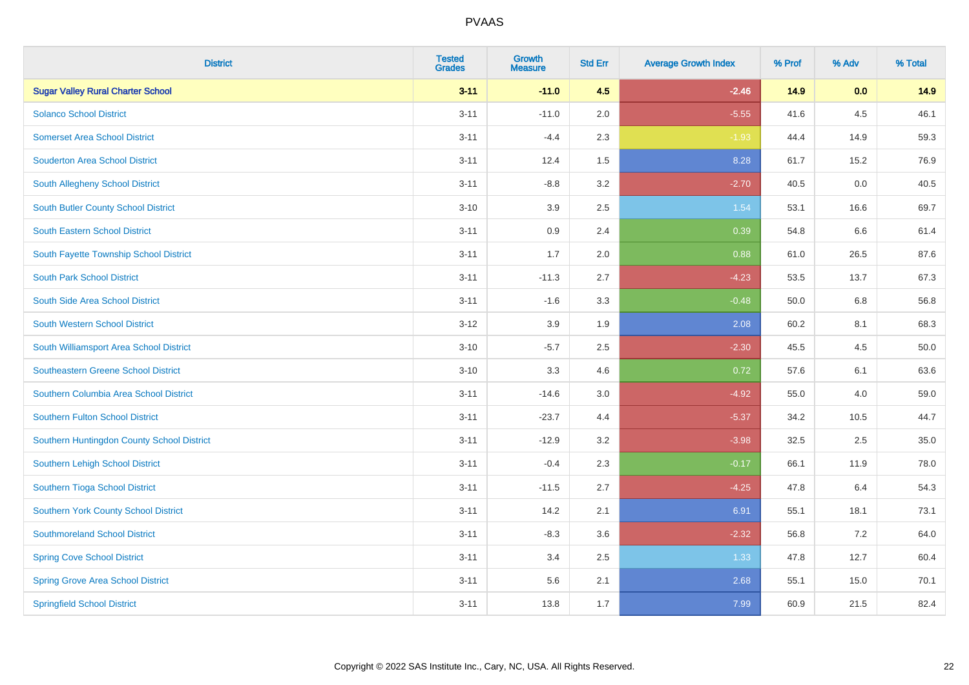| <b>District</b>                            | <b>Tested</b><br><b>Grades</b> | <b>Growth</b><br><b>Measure</b> | <b>Std Err</b> | <b>Average Growth Index</b> | % Prof | % Adv | % Total |
|--------------------------------------------|--------------------------------|---------------------------------|----------------|-----------------------------|--------|-------|---------|
| <b>Sugar Valley Rural Charter School</b>   | $3 - 11$                       | $-11.0$                         | 4.5            | $-2.46$                     | 14.9   | 0.0   | 14.9    |
| <b>Solanco School District</b>             | $3 - 11$                       | $-11.0$                         | 2.0            | $-5.55$                     | 41.6   | 4.5   | 46.1    |
| <b>Somerset Area School District</b>       | $3 - 11$                       | $-4.4$                          | 2.3            | $-1.93$                     | 44.4   | 14.9  | 59.3    |
| <b>Souderton Area School District</b>      | $3 - 11$                       | 12.4                            | 1.5            | 8.28                        | 61.7   | 15.2  | 76.9    |
| South Allegheny School District            | $3 - 11$                       | $-8.8$                          | 3.2            | $-2.70$                     | 40.5   | 0.0   | 40.5    |
| South Butler County School District        | $3 - 10$                       | 3.9                             | 2.5            | 1.54                        | 53.1   | 16.6  | 69.7    |
| <b>South Eastern School District</b>       | $3 - 11$                       | 0.9                             | 2.4            | 0.39                        | 54.8   | 6.6   | 61.4    |
| South Fayette Township School District     | $3 - 11$                       | 1.7                             | 2.0            | 0.88                        | 61.0   | 26.5  | 87.6    |
| <b>South Park School District</b>          | $3 - 11$                       | $-11.3$                         | 2.7            | $-4.23$                     | 53.5   | 13.7  | 67.3    |
| South Side Area School District            | $3 - 11$                       | $-1.6$                          | 3.3            | $-0.48$                     | 50.0   | 6.8   | 56.8    |
| South Western School District              | $3 - 12$                       | 3.9                             | 1.9            | 2.08                        | 60.2   | 8.1   | 68.3    |
| South Williamsport Area School District    | $3 - 10$                       | $-5.7$                          | 2.5            | $-2.30$                     | 45.5   | 4.5   | 50.0    |
| Southeastern Greene School District        | $3 - 10$                       | 3.3                             | 4.6            | 0.72                        | 57.6   | 6.1   | 63.6    |
| Southern Columbia Area School District     | $3 - 11$                       | $-14.6$                         | 3.0            | $-4.92$                     | 55.0   | 4.0   | 59.0    |
| Southern Fulton School District            | $3 - 11$                       | $-23.7$                         | 4.4            | $-5.37$                     | 34.2   | 10.5  | 44.7    |
| Southern Huntingdon County School District | $3 - 11$                       | $-12.9$                         | 3.2            | $-3.98$                     | 32.5   | 2.5   | 35.0    |
| Southern Lehigh School District            | $3 - 11$                       | $-0.4$                          | 2.3            | $-0.17$                     | 66.1   | 11.9  | 78.0    |
| Southern Tioga School District             | $3 - 11$                       | $-11.5$                         | 2.7            | $-4.25$                     | 47.8   | 6.4   | 54.3    |
| Southern York County School District       | $3 - 11$                       | 14.2                            | 2.1            | 6.91                        | 55.1   | 18.1  | 73.1    |
| <b>Southmoreland School District</b>       | $3 - 11$                       | $-8.3$                          | 3.6            | $-2.32$                     | 56.8   | 7.2   | 64.0    |
| <b>Spring Cove School District</b>         | $3 - 11$                       | 3.4                             | 2.5            | 1.33                        | 47.8   | 12.7  | 60.4    |
| <b>Spring Grove Area School District</b>   | $3 - 11$                       | 5.6                             | 2.1            | 2.68                        | 55.1   | 15.0  | 70.1    |
| <b>Springfield School District</b>         | $3 - 11$                       | 13.8                            | 1.7            | 7.99                        | 60.9   | 21.5  | 82.4    |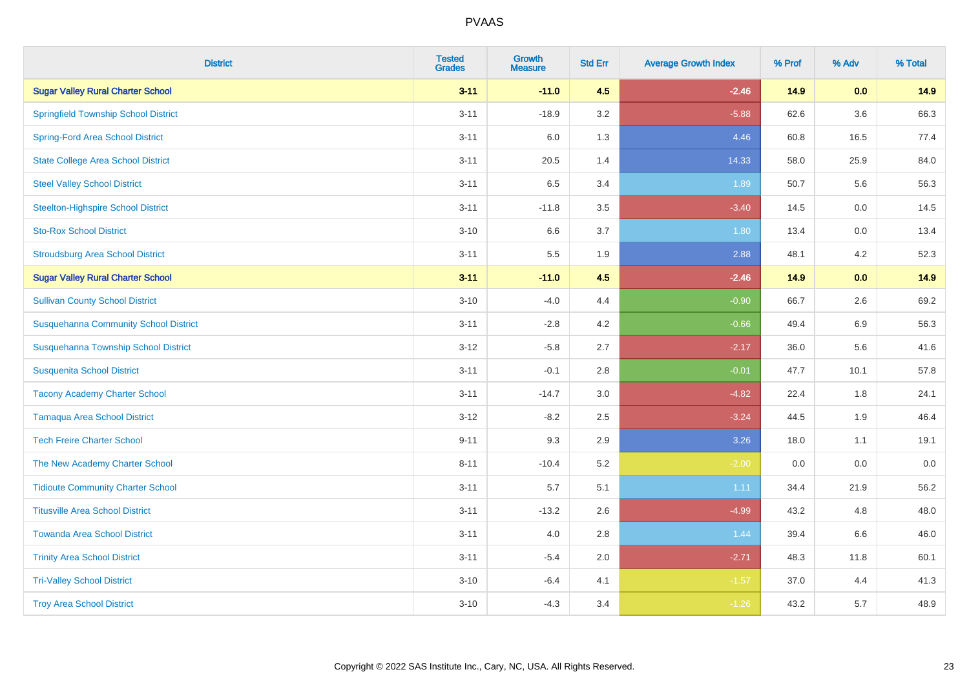| <b>District</b>                              | <b>Tested</b><br><b>Grades</b> | <b>Growth</b><br><b>Measure</b> | <b>Std Err</b> | <b>Average Growth Index</b> | % Prof | % Adv   | % Total |
|----------------------------------------------|--------------------------------|---------------------------------|----------------|-----------------------------|--------|---------|---------|
| <b>Sugar Valley Rural Charter School</b>     | $3 - 11$                       | $-11.0$                         | 4.5            | $-2.46$                     | 14.9   | 0.0     | 14.9    |
| <b>Springfield Township School District</b>  | $3 - 11$                       | $-18.9$                         | 3.2            | $-5.88$                     | 62.6   | $3.6\,$ | 66.3    |
| <b>Spring-Ford Area School District</b>      | $3 - 11$                       | 6.0                             | 1.3            | 4.46                        | 60.8   | 16.5    | 77.4    |
| <b>State College Area School District</b>    | $3 - 11$                       | 20.5                            | 1.4            | 14.33                       | 58.0   | 25.9    | 84.0    |
| <b>Steel Valley School District</b>          | $3 - 11$                       | 6.5                             | 3.4            | 1.89                        | 50.7   | 5.6     | 56.3    |
| <b>Steelton-Highspire School District</b>    | $3 - 11$                       | $-11.8$                         | 3.5            | $-3.40$                     | 14.5   | 0.0     | 14.5    |
| <b>Sto-Rox School District</b>               | $3 - 10$                       | 6.6                             | 3.7            | 1.80                        | 13.4   | 0.0     | 13.4    |
| <b>Stroudsburg Area School District</b>      | $3 - 11$                       | $5.5\,$                         | 1.9            | 2.88                        | 48.1   | 4.2     | 52.3    |
| <b>Sugar Valley Rural Charter School</b>     | $3 - 11$                       | $-11.0$                         | 4.5            | $-2.46$                     | 14.9   | 0.0     | 14.9    |
| <b>Sullivan County School District</b>       | $3 - 10$                       | $-4.0$                          | 4.4            | $-0.90$                     | 66.7   | $2.6\,$ | 69.2    |
| <b>Susquehanna Community School District</b> | $3 - 11$                       | $-2.8$                          | 4.2            | $-0.66$                     | 49.4   | 6.9     | 56.3    |
| Susquehanna Township School District         | $3 - 12$                       | $-5.8$                          | 2.7            | $-2.17$                     | 36.0   | 5.6     | 41.6    |
| <b>Susquenita School District</b>            | $3 - 11$                       | $-0.1$                          | 2.8            | $-0.01$                     | 47.7   | 10.1    | 57.8    |
| <b>Tacony Academy Charter School</b>         | $3 - 11$                       | $-14.7$                         | 3.0            | $-4.82$                     | 22.4   | 1.8     | 24.1    |
| <b>Tamaqua Area School District</b>          | $3 - 12$                       | $-8.2$                          | 2.5            | $-3.24$                     | 44.5   | 1.9     | 46.4    |
| <b>Tech Freire Charter School</b>            | $9 - 11$                       | 9.3                             | 2.9            | 3.26                        | 18.0   | 1.1     | 19.1    |
| The New Academy Charter School               | $8 - 11$                       | $-10.4$                         | 5.2            | $-2.00$                     | 0.0    | 0.0     | $0.0\,$ |
| <b>Tidioute Community Charter School</b>     | $3 - 11$                       | 5.7                             | 5.1            | 1.11                        | 34.4   | 21.9    | 56.2    |
| <b>Titusville Area School District</b>       | $3 - 11$                       | $-13.2$                         | 2.6            | $-4.99$                     | 43.2   | 4.8     | 48.0    |
| <b>Towanda Area School District</b>          | $3 - 11$                       | 4.0                             | 2.8            | 1.44                        | 39.4   | 6.6     | 46.0    |
| <b>Trinity Area School District</b>          | $3 - 11$                       | $-5.4$                          | 2.0            | $-2.71$                     | 48.3   | 11.8    | 60.1    |
| <b>Tri-Valley School District</b>            | $3 - 10$                       | $-6.4$                          | 4.1            | $-1.57$                     | 37.0   | 4.4     | 41.3    |
| <b>Troy Area School District</b>             | $3 - 10$                       | $-4.3$                          | 3.4            | $-1.26$                     | 43.2   | 5.7     | 48.9    |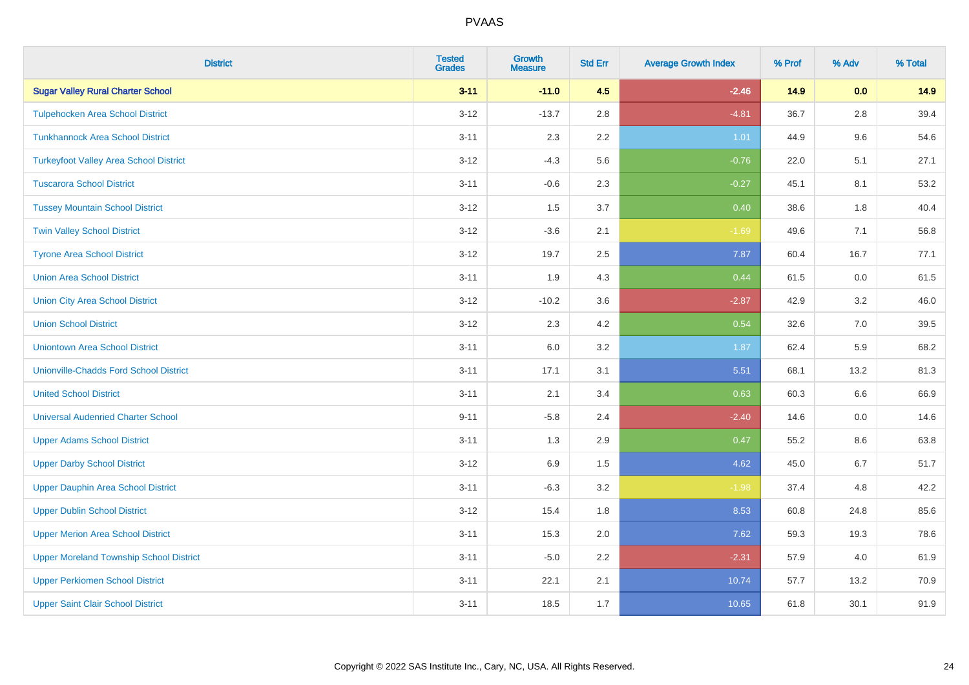| <b>District</b>                                | <b>Tested</b><br><b>Grades</b> | <b>Growth</b><br><b>Measure</b> | <b>Std Err</b> | <b>Average Growth Index</b> | % Prof | % Adv   | % Total |
|------------------------------------------------|--------------------------------|---------------------------------|----------------|-----------------------------|--------|---------|---------|
| <b>Sugar Valley Rural Charter School</b>       | $3 - 11$                       | $-11.0$                         | 4.5            | $-2.46$                     | 14.9   | 0.0     | 14.9    |
| <b>Tulpehocken Area School District</b>        | $3 - 12$                       | $-13.7$                         | 2.8            | $-4.81$                     | 36.7   | $2.8\,$ | 39.4    |
| <b>Tunkhannock Area School District</b>        | $3 - 11$                       | 2.3                             | 2.2            | 1.01                        | 44.9   | 9.6     | 54.6    |
| <b>Turkeyfoot Valley Area School District</b>  | $3 - 12$                       | $-4.3$                          | 5.6            | $-0.76$                     | 22.0   | 5.1     | 27.1    |
| <b>Tuscarora School District</b>               | $3 - 11$                       | $-0.6$                          | 2.3            | $-0.27$                     | 45.1   | 8.1     | 53.2    |
| <b>Tussey Mountain School District</b>         | $3 - 12$                       | 1.5                             | 3.7            | 0.40                        | 38.6   | 1.8     | 40.4    |
| <b>Twin Valley School District</b>             | $3 - 12$                       | $-3.6$                          | 2.1            | $-1.69$                     | 49.6   | 7.1     | 56.8    |
| <b>Tyrone Area School District</b>             | $3 - 12$                       | 19.7                            | 2.5            | 7.87                        | 60.4   | 16.7    | 77.1    |
| <b>Union Area School District</b>              | $3 - 11$                       | 1.9                             | 4.3            | 0.44                        | 61.5   | 0.0     | 61.5    |
| <b>Union City Area School District</b>         | $3 - 12$                       | $-10.2$                         | 3.6            | $-2.87$                     | 42.9   | $3.2\,$ | 46.0    |
| <b>Union School District</b>                   | $3 - 12$                       | 2.3                             | 4.2            | 0.54                        | 32.6   | 7.0     | 39.5    |
| <b>Uniontown Area School District</b>          | $3 - 11$                       | 6.0                             | 3.2            | 1.87                        | 62.4   | 5.9     | 68.2    |
| <b>Unionville-Chadds Ford School District</b>  | $3 - 11$                       | 17.1                            | 3.1            | 5.51                        | 68.1   | 13.2    | 81.3    |
| <b>United School District</b>                  | $3 - 11$                       | 2.1                             | 3.4            | 0.63                        | 60.3   | 6.6     | 66.9    |
| <b>Universal Audenried Charter School</b>      | $9 - 11$                       | $-5.8$                          | 2.4            | $-2.40$                     | 14.6   | 0.0     | 14.6    |
| <b>Upper Adams School District</b>             | $3 - 11$                       | 1.3                             | 2.9            | 0.47                        | 55.2   | 8.6     | 63.8    |
| <b>Upper Darby School District</b>             | $3 - 12$                       | 6.9                             | $1.5\,$        | 4.62                        | 45.0   | 6.7     | 51.7    |
| <b>Upper Dauphin Area School District</b>      | $3 - 11$                       | $-6.3$                          | 3.2            | $-1.98$                     | 37.4   | 4.8     | 42.2    |
| <b>Upper Dublin School District</b>            | $3 - 12$                       | 15.4                            | 1.8            | 8.53                        | 60.8   | 24.8    | 85.6    |
| <b>Upper Merion Area School District</b>       | $3 - 11$                       | 15.3                            | 2.0            | 7.62                        | 59.3   | 19.3    | 78.6    |
| <b>Upper Moreland Township School District</b> | $3 - 11$                       | $-5.0$                          | 2.2            | $-2.31$                     | 57.9   | 4.0     | 61.9    |
| <b>Upper Perkiomen School District</b>         | $3 - 11$                       | 22.1                            | 2.1            | 10.74                       | 57.7   | 13.2    | 70.9    |
| <b>Upper Saint Clair School District</b>       | $3 - 11$                       | 18.5                            | 1.7            | 10.65                       | 61.8   | 30.1    | 91.9    |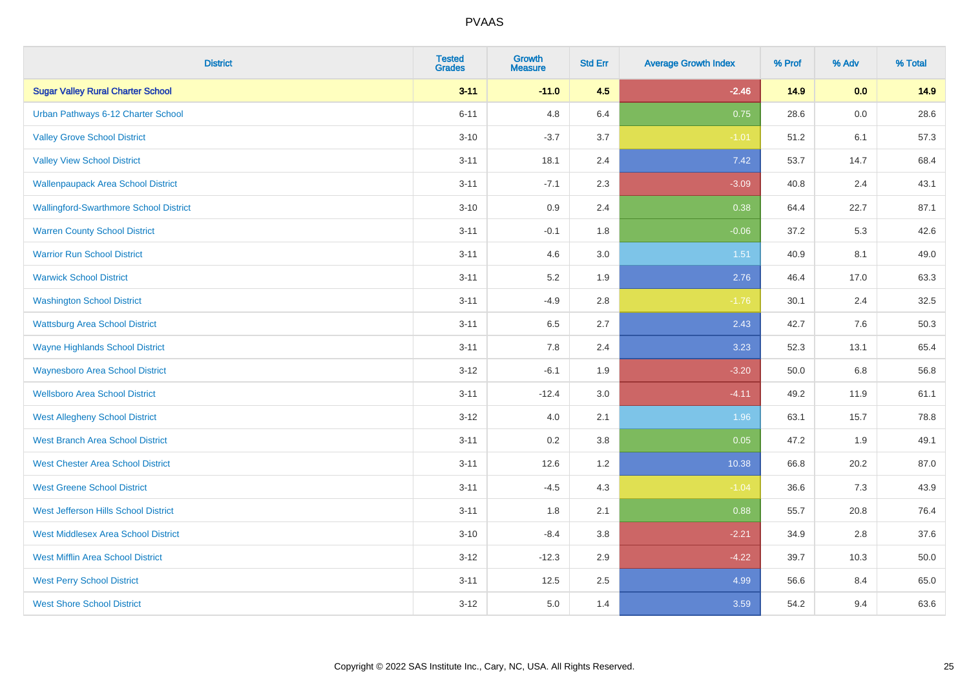| <b>District</b>                               | <b>Tested</b><br><b>Grades</b> | <b>Growth</b><br><b>Measure</b> | <b>Std Err</b> | <b>Average Growth Index</b> | % Prof | % Adv   | % Total |
|-----------------------------------------------|--------------------------------|---------------------------------|----------------|-----------------------------|--------|---------|---------|
| <b>Sugar Valley Rural Charter School</b>      | $3 - 11$                       | $-11.0$                         | 4.5            | $-2.46$                     | 14.9   | 0.0     | 14.9    |
| Urban Pathways 6-12 Charter School            | $6 - 11$                       | 4.8                             | 6.4            | 0.75                        | 28.6   | $0.0\,$ | 28.6    |
| <b>Valley Grove School District</b>           | $3 - 10$                       | $-3.7$                          | 3.7            | $-1.01$                     | 51.2   | 6.1     | 57.3    |
| <b>Valley View School District</b>            | $3 - 11$                       | 18.1                            | 2.4            | 7.42                        | 53.7   | 14.7    | 68.4    |
| <b>Wallenpaupack Area School District</b>     | $3 - 11$                       | $-7.1$                          | 2.3            | $-3.09$                     | 40.8   | 2.4     | 43.1    |
| <b>Wallingford-Swarthmore School District</b> | $3 - 10$                       | 0.9                             | 2.4            | 0.38                        | 64.4   | 22.7    | 87.1    |
| <b>Warren County School District</b>          | $3 - 11$                       | $-0.1$                          | 1.8            | $-0.06$                     | 37.2   | 5.3     | 42.6    |
| <b>Warrior Run School District</b>            | $3 - 11$                       | 4.6                             | 3.0            | 1.51                        | 40.9   | 8.1     | 49.0    |
| <b>Warwick School District</b>                | $3 - 11$                       | 5.2                             | 1.9            | 2.76                        | 46.4   | 17.0    | 63.3    |
| <b>Washington School District</b>             | $3 - 11$                       | $-4.9$                          | $2.8\,$        | $-1.76$                     | 30.1   | 2.4     | 32.5    |
| <b>Wattsburg Area School District</b>         | $3 - 11$                       | 6.5                             | 2.7            | 2.43                        | 42.7   | 7.6     | 50.3    |
| <b>Wayne Highlands School District</b>        | $3 - 11$                       | 7.8                             | 2.4            | 3.23                        | 52.3   | 13.1    | 65.4    |
| <b>Waynesboro Area School District</b>        | $3 - 12$                       | $-6.1$                          | 1.9            | $-3.20$                     | 50.0   | $6.8\,$ | 56.8    |
| <b>Wellsboro Area School District</b>         | $3 - 11$                       | $-12.4$                         | 3.0            | $-4.11$                     | 49.2   | 11.9    | 61.1    |
| <b>West Allegheny School District</b>         | $3 - 12$                       | 4.0                             | 2.1            | 1.96                        | 63.1   | 15.7    | 78.8    |
| <b>West Branch Area School District</b>       | $3 - 11$                       | 0.2                             | 3.8            | 0.05                        | 47.2   | 1.9     | 49.1    |
| <b>West Chester Area School District</b>      | $3 - 11$                       | 12.6                            | 1.2            | 10.38                       | 66.8   | 20.2    | 87.0    |
| <b>West Greene School District</b>            | $3 - 11$                       | $-4.5$                          | 4.3            | $-1.04$                     | 36.6   | 7.3     | 43.9    |
| West Jefferson Hills School District          | $3 - 11$                       | 1.8                             | 2.1            | 0.88                        | 55.7   | 20.8    | 76.4    |
| <b>West Middlesex Area School District</b>    | $3 - 10$                       | $-8.4$                          | 3.8            | $-2.21$                     | 34.9   | 2.8     | 37.6    |
| <b>West Mifflin Area School District</b>      | $3 - 12$                       | $-12.3$                         | 2.9            | $-4.22$                     | 39.7   | 10.3    | 50.0    |
| <b>West Perry School District</b>             | $3 - 11$                       | 12.5                            | 2.5            | 4.99                        | 56.6   | 8.4     | 65.0    |
| <b>West Shore School District</b>             | $3 - 12$                       | 5.0                             | 1.4            | 3.59                        | 54.2   | 9.4     | 63.6    |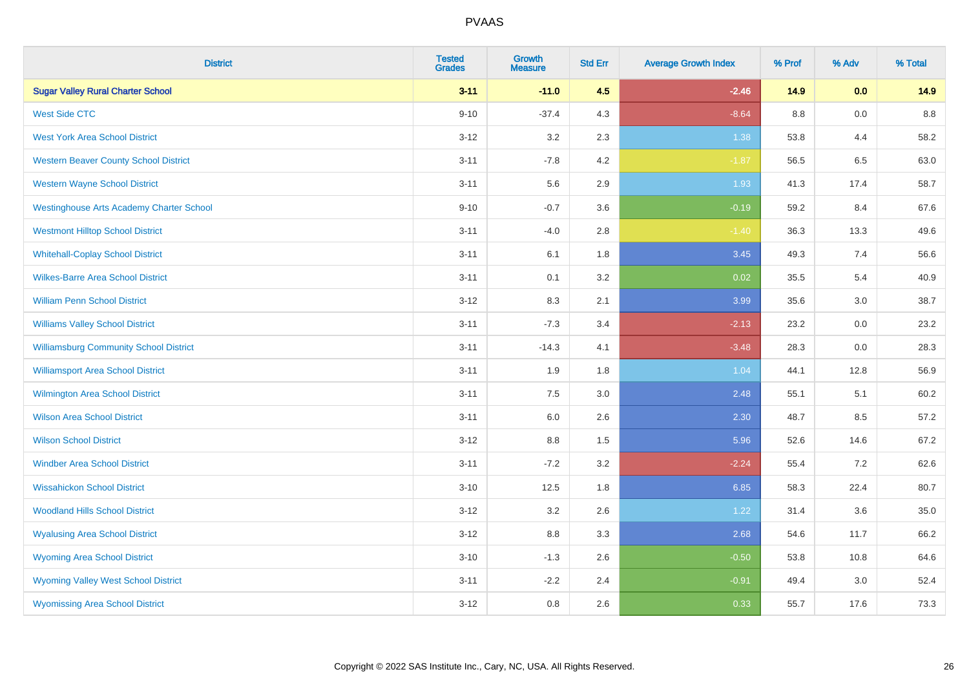| <b>District</b>                                 | <b>Tested</b><br><b>Grades</b> | <b>Growth</b><br><b>Measure</b> | <b>Std Err</b> | <b>Average Growth Index</b> | % Prof  | % Adv | % Total |
|-------------------------------------------------|--------------------------------|---------------------------------|----------------|-----------------------------|---------|-------|---------|
| <b>Sugar Valley Rural Charter School</b>        | $3 - 11$                       | $-11.0$                         | 4.5            | $-2.46$                     | 14.9    | 0.0   | 14.9    |
| <b>West Side CTC</b>                            | $9 - 10$                       | $-37.4$                         | 4.3            | $-8.64$                     | $8.8\,$ | 0.0   | $8.8\,$ |
| <b>West York Area School District</b>           | $3 - 12$                       | 3.2                             | 2.3            | 1.38                        | 53.8    | 4.4   | 58.2    |
| <b>Western Beaver County School District</b>    | $3 - 11$                       | $-7.8$                          | 4.2            | $-1.87$                     | 56.5    | 6.5   | 63.0    |
| <b>Western Wayne School District</b>            | $3 - 11$                       | 5.6                             | 2.9            | 1.93                        | 41.3    | 17.4  | 58.7    |
| <b>Westinghouse Arts Academy Charter School</b> | $9 - 10$                       | $-0.7$                          | 3.6            | $-0.19$                     | 59.2    | 8.4   | 67.6    |
| <b>Westmont Hilltop School District</b>         | $3 - 11$                       | $-4.0$                          | 2.8            | $-1.40$                     | 36.3    | 13.3  | 49.6    |
| <b>Whitehall-Coplay School District</b>         | $3 - 11$                       | 6.1                             | 1.8            | 3.45                        | 49.3    | 7.4   | 56.6    |
| <b>Wilkes-Barre Area School District</b>        | $3 - 11$                       | 0.1                             | 3.2            | 0.02                        | 35.5    | 5.4   | 40.9    |
| <b>William Penn School District</b>             | $3 - 12$                       | 8.3                             | 2.1            | 3.99                        | 35.6    | 3.0   | 38.7    |
| <b>Williams Valley School District</b>          | $3 - 11$                       | $-7.3$                          | 3.4            | $-2.13$                     | 23.2    | 0.0   | 23.2    |
| <b>Williamsburg Community School District</b>   | $3 - 11$                       | $-14.3$                         | 4.1            | $-3.48$                     | 28.3    | 0.0   | 28.3    |
| <b>Williamsport Area School District</b>        | $3 - 11$                       | 1.9                             | 1.8            | 1.04                        | 44.1    | 12.8  | 56.9    |
| <b>Wilmington Area School District</b>          | $3 - 11$                       | 7.5                             | 3.0            | 2.48                        | 55.1    | 5.1   | 60.2    |
| <b>Wilson Area School District</b>              | $3 - 11$                       | 6.0                             | 2.6            | 2.30                        | 48.7    | 8.5   | 57.2    |
| <b>Wilson School District</b>                   | $3 - 12$                       | 8.8                             | 1.5            | 5.96                        | 52.6    | 14.6  | 67.2    |
| <b>Windber Area School District</b>             | $3 - 11$                       | $-7.2$                          | 3.2            | $-2.24$                     | 55.4    | 7.2   | 62.6    |
| <b>Wissahickon School District</b>              | $3 - 10$                       | 12.5                            | 1.8            | 6.85                        | 58.3    | 22.4  | 80.7    |
| <b>Woodland Hills School District</b>           | $3 - 12$                       | 3.2                             | 2.6            | 1.22                        | 31.4    | 3.6   | 35.0    |
| <b>Wyalusing Area School District</b>           | $3 - 12$                       | $8.8\,$                         | 3.3            | 2.68                        | 54.6    | 11.7  | 66.2    |
| <b>Wyoming Area School District</b>             | $3 - 10$                       | $-1.3$                          | 2.6            | $-0.50$                     | 53.8    | 10.8  | 64.6    |
| <b>Wyoming Valley West School District</b>      | $3 - 11$                       | $-2.2$                          | 2.4            | $-0.91$                     | 49.4    | 3.0   | 52.4    |
| <b>Wyomissing Area School District</b>          | $3 - 12$                       | 0.8                             | 2.6            | 0.33                        | 55.7    | 17.6  | 73.3    |